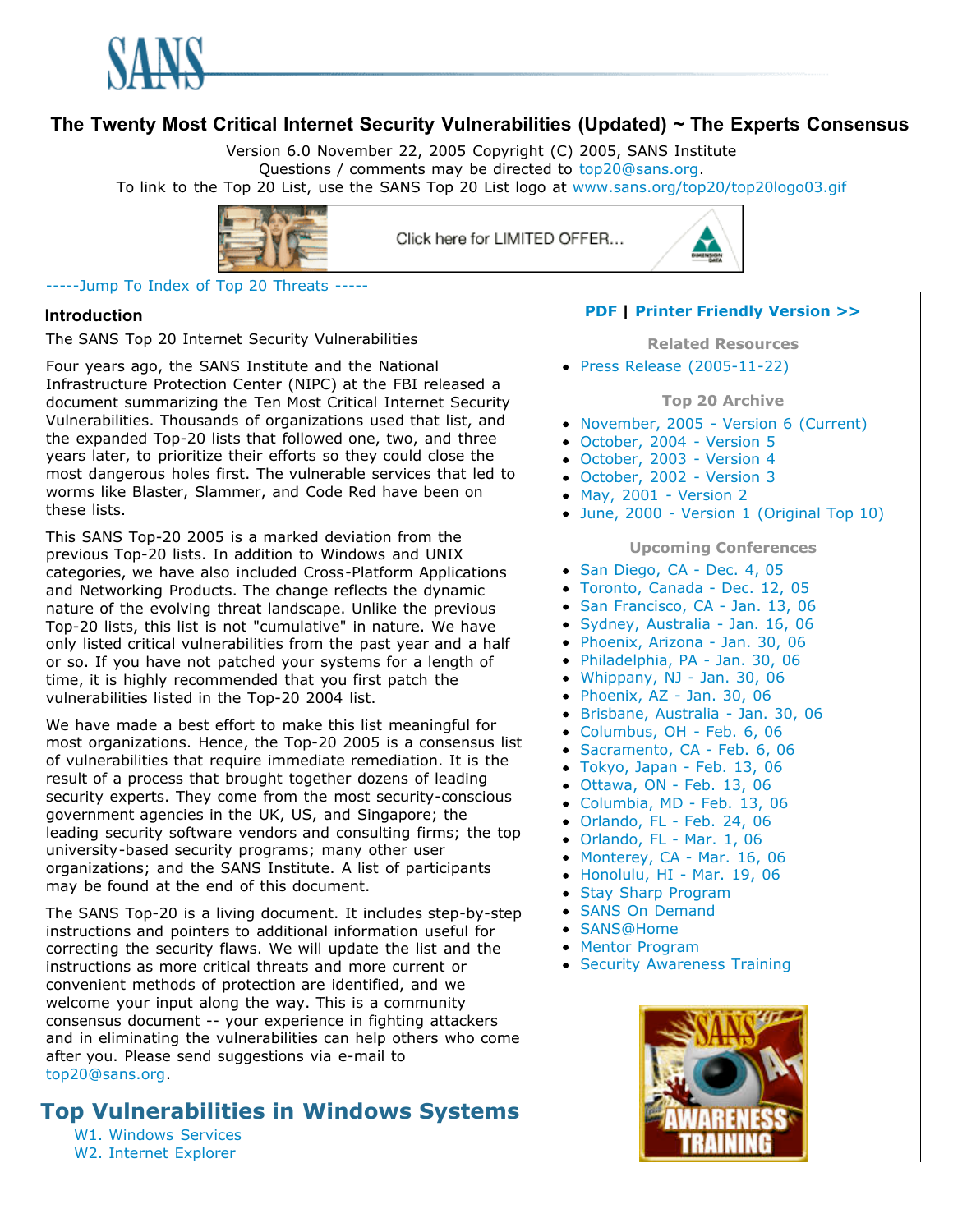

# **The Twenty Most Critical Internet Security Vulnerabilities (Updated) ~ The Experts Consensus**

Version 6.0 November 22, 2005 Copyright (C) 2005, SANS Institute Questions / comments may be directed to top20@sans.org. To link to the Top 20 List, use the SANS Top 20 List logo at www.sans.org/top20/top20logo03.gif



Click here for LIMITED OFFER...



#### -----Jump To Index of Top 20 Threats -----

# **Introduction**

The SANS Top 20 Internet Security Vulnerabilities

Four years ago, the SANS Institute and the National Infrastructure Protection Center (NIPC) at the FBI released a document summarizing the Ten Most Critical Internet Security Vulnerabilities. Thousands of organizations used that list, and the expanded Top-20 lists that followed one, two, and three years later, to prioritize their efforts so they could close the most dangerous holes first. The vulnerable services that led to worms like Blaster, Slammer, and Code Red have been on these lists.

This SANS Top-20 2005 is a marked deviation from the previous Top-20 lists. In addition to Windows and UNIX categories, we have also included Cross-Platform Applications and Networking Products. The change reflects the dynamic nature of the evolving threat landscape. Unlike the previous Top-20 lists, this list is not "cumulative" in nature. We have only listed critical vulnerabilities from the past year and a half or so. If you have not patched your systems for a length of time, it is highly recommended that you first patch the vulnerabilities listed in the Top-20 2004 list.

We have made a best effort to make this list meaningful for most organizations. Hence, the Top-20 2005 is a consensus list of vulnerabilities that require immediate remediation. It is the result of a process that brought together dozens of leading security experts. They come from the most security-conscious government agencies in the UK, US, and Singapore; the leading security software vendors and consulting firms; the top university-based security programs; many other user organizations; and the SANS Institute. A list of participants may be found at the end of this document.

The SANS Top-20 is a living document. It includes step-by-step instructions and pointers to additional information useful for correcting the security flaws. We will update the list and the instructions as more critical threats and more current or convenient methods of protection are identified, and we welcome your input along the way. This is a community consensus document -- your experience in fighting attackers and in eliminating the vulnerabilities can help others who come after you. Please send suggestions via e-mail to top20@sans.org.

# **Top Vulnerabilities in Windows Systems**

W1. Windows Services W2. Internet Explorer

# **PDF | Printer Friendly Version >>**

**Related Resources**

• Press Release (2005-11-22)

#### **Top 20 Archive**

- November, 2005 Version 6 (Current)
- October, 2004 Version 5
- October, 2003 Version 4
- October, 2002 Version 3
- May, 2001 Version 2
- June, 2000 Version 1 (Original Top 10)

# **Upcoming Conferences**

- San Diego, CA Dec. 4, 05
- Toronto, Canada Dec. 12, 05
- San Francisco, CA Jan. 13, 06
- Sydney, Australia Jan. 16, 06
- Phoenix, Arizona Jan. 30, 06
- Philadelphia, PA Jan. 30, 06
- Whippany, NJ Jan. 30, 06
- $\bullet$  Phoenix, AZ Jan. 30, 06
- Brisbane, Australia Jan. 30, 06
- Columbus, OH Feb. 6, 06
- Sacramento, CA Feb. 6, 06
- Tokyo, Japan Feb. 13, 06
- $\bullet$  Ottawa, ON Feb. 13, 06
- Columbia, MD Feb. 13, 06
- Orlando, FL Feb. 24, 06
- Orlando, FL Mar. 1, 06
- Monterey, CA Mar. 16, 06 Honolulu, HI - Mar. 19, 06
- Stay Sharp Program
- SANS On Demand
- SANS@Home
- Mentor Program
- Security Awareness Training

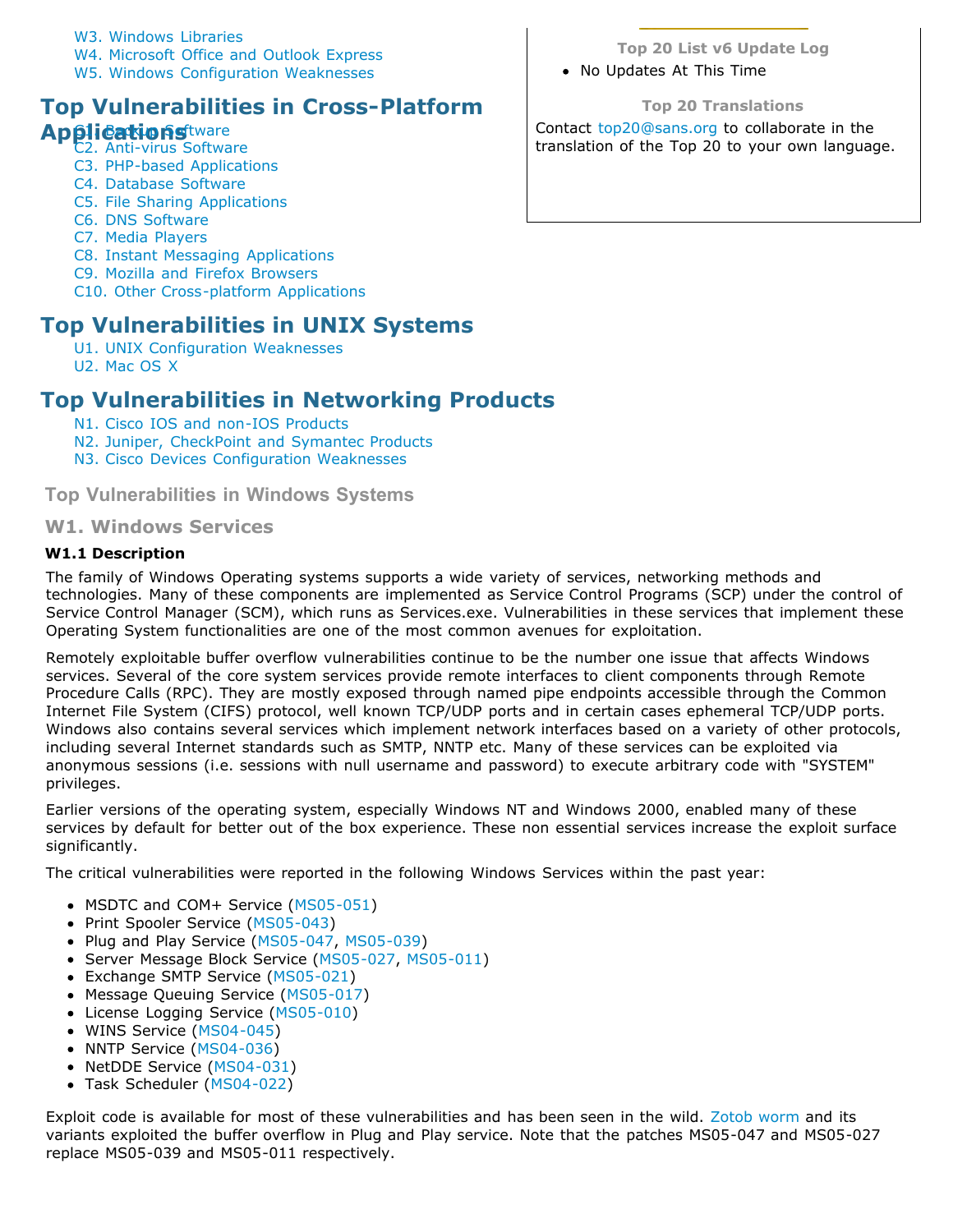W3. Windows Libraries W4. Microsoft Office and Outlook Express W5. Windows Configuration Weaknesses

# **Top Vulnerabilities in Cross-Platform**

# **Applications** Etware

- C2. Anti-virus Software
- C3. PHP-based Applications
- C4. Database Software
- C5. File Sharing Applications
- C6. DNS Software
- C7. Media Players
- C8. Instant Messaging Applications
- C9. Mozilla and Firefox Browsers
- C10. Other Cross-platform Applications

# **Top Vulnerabilities in UNIX Systems**

- U1. UNIX Configuration Weaknesses
- U2. Mac OS X

# **Top Vulnerabilities in Networking Products**

- N1. Cisco IOS and non-IOS Products
- N2. Juniper, CheckPoint and Symantec Products
- N3. Cisco Devices Configuration Weaknesses

# **Top Vulnerabilities in Windows Systems**

# **W1. Windows Services**

# **W1.1 Description**

The family of Windows Operating systems supports a wide variety of services, networking methods and technologies. Many of these components are implemented as Service Control Programs (SCP) under the control of Service Control Manager (SCM), which runs as Services.exe. Vulnerabilities in these services that implement these Operating System functionalities are one of the most common avenues for exploitation.

Remotely exploitable buffer overflow vulnerabilities continue to be the number one issue that affects Windows services. Several of the core system services provide remote interfaces to client components through Remote Procedure Calls (RPC). They are mostly exposed through named pipe endpoints accessible through the Common Internet File System (CIFS) protocol, well known TCP/UDP ports and in certain cases ephemeral TCP/UDP ports. Windows also contains several services which implement network interfaces based on a variety of other protocols, including several Internet standards such as SMTP, NNTP etc. Many of these services can be exploited via anonymous sessions (i.e. sessions with null username and password) to execute arbitrary code with "SYSTEM" privileges.

Earlier versions of the operating system, especially Windows NT and Windows 2000, enabled many of these services by default for better out of the box experience. These non essential services increase the exploit surface significantly.

The critical vulnerabilities were reported in the following Windows Services within the past year:

- MSDTC and COM+ Service (MS05-051)
- Print Spooler Service (MS05-043)
- Plug and Play Service (MS05-047, MS05-039)
- Server Message Block Service (MS05-027, MS05-011)
- Exchange SMTP Service (MS05-021)
- Message Queuing Service (MS05-017)
- License Logging Service (MS05-010)
- WINS Service (MS04-045)
- NNTP Service (MS04-036)
- NetDDE Service (MS04-031)
- Task Scheduler (MS04-022)

Exploit code is available for most of these vulnerabilities and has been seen in the wild. Zotob worm and its variants exploited the buffer overflow in Plug and Play service. Note that the patches MS05-047 and MS05-027 replace MS05-039 and MS05-011 respectively.

**Top 20 List v6 Update Log**

No Updates At This Time

### **Top 20 Translations**

Contact top20@sans.org to collaborate in the translation of the Top 20 to your own language.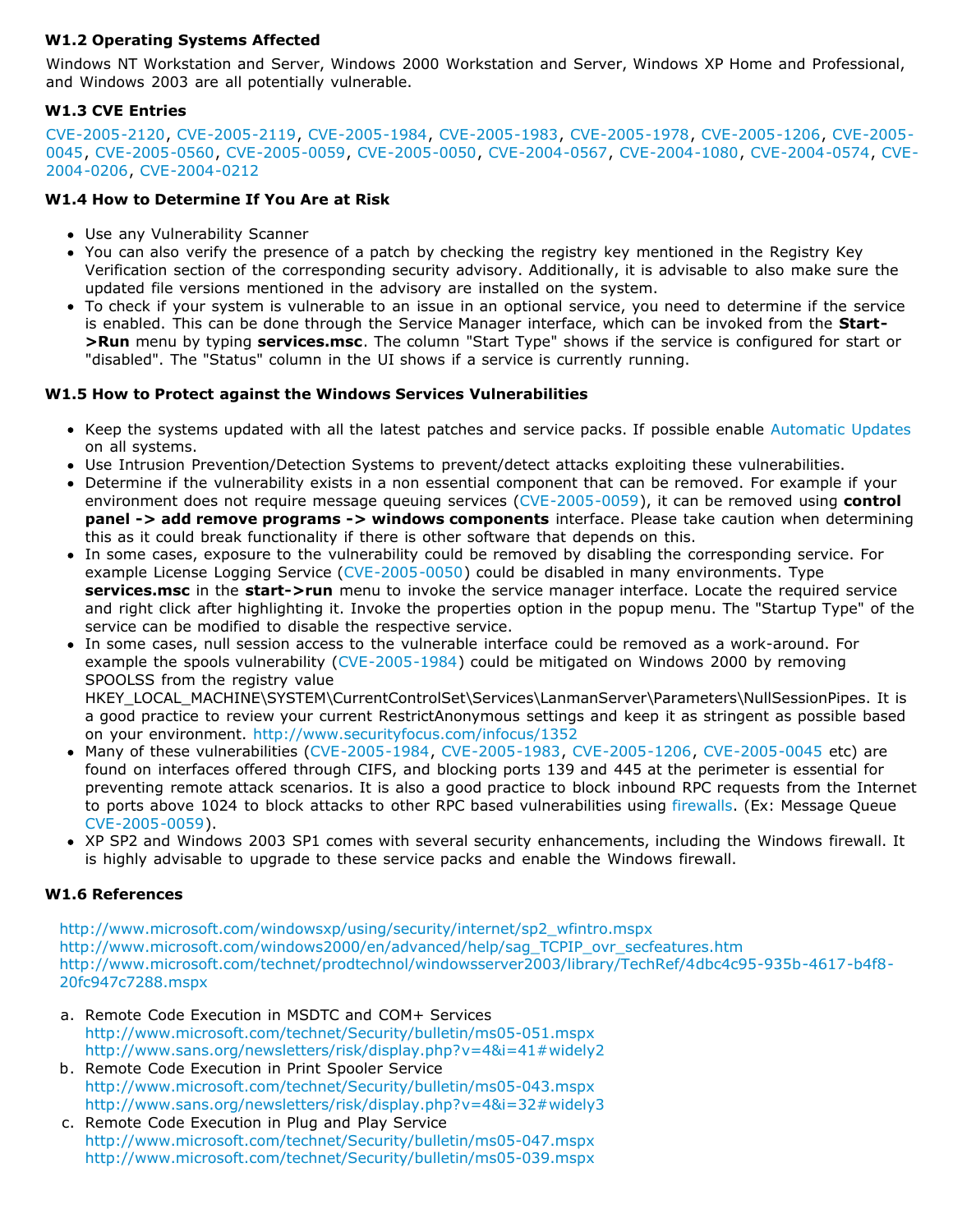# **W1.2 Operating Systems Affected**

Windows NT Workstation and Server, Windows 2000 Workstation and Server, Windows XP Home and Professional, and Windows 2003 are all potentially vulnerable.

# **W1.3 CVE Entries**

CVE-2005-2120, CVE-2005-2119, CVE-2005-1984, CVE-2005-1983, CVE-2005-1978, CVE-2005-1206, CVE-2005- 0045, CVE-2005-0560, CVE-2005-0059, CVE-2005-0050, CVE-2004-0567, CVE-2004-1080, CVE-2004-0574, CVE-2004-0206, CVE-2004-0212

## **W1.4 How to Determine If You Are at Risk**

- Use any Vulnerability Scanner
- You can also verify the presence of a patch by checking the registry key mentioned in the Registry Key Verification section of the corresponding security advisory. Additionally, it is advisable to also make sure the updated file versions mentioned in the advisory are installed on the system.
- To check if your system is vulnerable to an issue in an optional service, you need to determine if the service is enabled. This can be done through the Service Manager interface, which can be invoked from the **Start- >Run** menu by typing **services.msc**. The column "Start Type" shows if the service is configured for start or "disabled". The "Status" column in the UI shows if a service is currently running.

# **W1.5 How to Protect against the Windows Services Vulnerabilities**

- Keep the systems updated with all the latest patches and service packs. If possible enable Automatic Updates on all systems.
- Use Intrusion Prevention/Detection Systems to prevent/detect attacks exploiting these vulnerabilities.
- Determine if the vulnerability exists in a non essential component that can be removed. For example if your environment does not require message queuing services (CVE-2005-0059), it can be removed using **control panel -> add remove programs -> windows components** interface. Please take caution when determining this as it could break functionality if there is other software that depends on this.
- In some cases, exposure to the vulnerability could be removed by disabling the corresponding service. For example License Logging Service (CVE-2005-0050) could be disabled in many environments. Type **services.msc** in the **start->run** menu to invoke the service manager interface. Locate the required service and right click after highlighting it. Invoke the properties option in the popup menu. The "Startup Type" of the service can be modified to disable the respective service.
- In some cases, null session access to the vulnerable interface could be removed as a work-around. For example the spools vulnerability (CVE-2005-1984) could be mitigated on Windows 2000 by removing SPOOLSS from the registry value

HKEY\_LOCAL\_MACHINE\SYSTEM\CurrentControlSet\Services\LanmanServer\Parameters\NullSessionPipes. It is a good practice to review your current RestrictAnonymous settings and keep it as stringent as possible based on your environment. http://www.securityfocus.com/infocus/1352

- Many of these vulnerabilities (CVE-2005-1984, CVE-2005-1983, CVE-2005-1206, CVE-2005-0045 etc) are found on interfaces offered through CIFS, and blocking ports 139 and 445 at the perimeter is essential for preventing remote attack scenarios. It is also a good practice to block inbound RPC requests from the Internet to ports above 1024 to block attacks to other RPC based vulnerabilities using firewalls. (Ex: Message Queue CVE-2005-0059).
- XP SP2 and Windows 2003 SP1 comes with several security enhancements, including the Windows firewall. It is highly advisable to upgrade to these service packs and enable the Windows firewall.

#### **W1.6 References**

http://www.microsoft.com/windowsxp/using/security/internet/sp2\_wfintro.mspx http://www.microsoft.com/windows2000/en/advanced/help/sag\_TCPIP\_ovr\_secfeatures.htm http://www.microsoft.com/technet/prodtechnol/windowsserver2003/library/TechRef/4dbc4c95-935b-4617-b4f8- 20fc947c7288.mspx

- a. Remote Code Execution in MSDTC and COM+ Services http://www.microsoft.com/technet/Security/bulletin/ms05-051.mspx http://www.sans.org/newsletters/risk/display.php?v=4&i=41#widely2
- b. Remote Code Execution in Print Spooler Service http://www.microsoft.com/technet/Security/bulletin/ms05-043.mspx http://www.sans.org/newsletters/risk/display.php?v=4&i=32#widely3
- c. Remote Code Execution in Plug and Play Service http://www.microsoft.com/technet/Security/bulletin/ms05-047.mspx http://www.microsoft.com/technet/Security/bulletin/ms05-039.mspx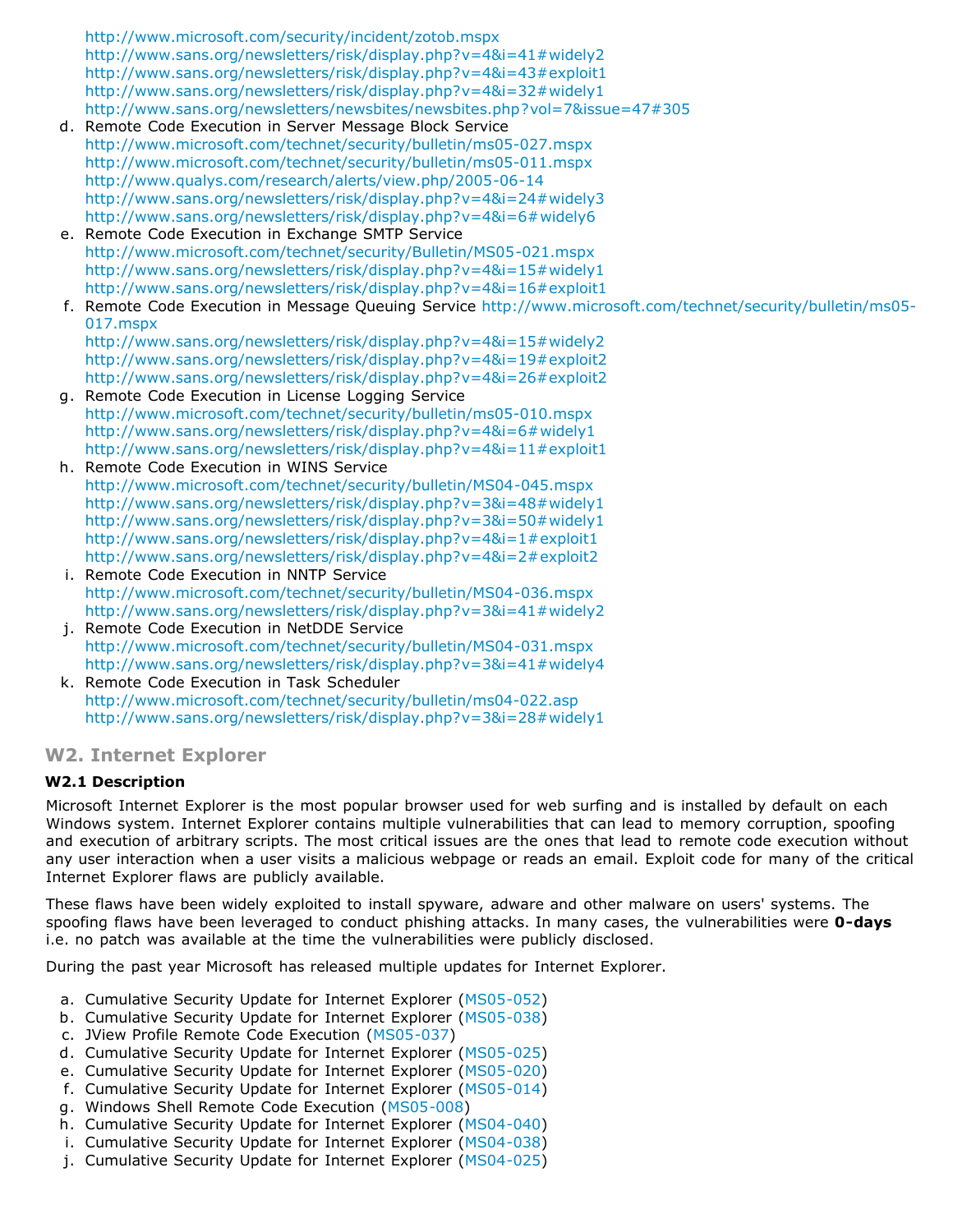http://www.microsoft.com/security/incident/zotob.mspx http://www.sans.org/newsletters/risk/display.php?v=4&i=41#widely2 http://www.sans.org/newsletters/risk/display.php?v=4&i=43#exploit1 http://www.sans.org/newsletters/risk/display.php?v=4&i=32#widely1 http://www.sans.org/newsletters/newsbites/newsbites.php?vol=7&issue=47#305

- d. Remote Code Execution in Server Message Block Service http://www.microsoft.com/technet/security/bulletin/ms05-027.mspx http://www.microsoft.com/technet/security/bulletin/ms05-011.mspx http://www.qualys.com/research/alerts/view.php/2005-06-14 http://www.sans.org/newsletters/risk/display.php?v=4&i=24#widely3 http://www.sans.org/newsletters/risk/display.php?v=4&i=6#widely6
- e. Remote Code Execution in Exchange SMTP Service http://www.microsoft.com/technet/security/Bulletin/MS05-021.mspx http://www.sans.org/newsletters/risk/display.php?v=4&i=15#widely1 http://www.sans.org/newsletters/risk/display.php?v=4&i=16#exploit1
- f. Remote Code Execution in Message Queuing Service http://www.microsoft.com/technet/security/bulletin/ms05- 017.mspx
- http://www.sans.org/newsletters/risk/display.php?v=4&i=15#widely2 http://www.sans.org/newsletters/risk/display.php?v=4&i=19#exploit2 http://www.sans.org/newsletters/risk/display.php?v=4&i=26#exploit2
- g. Remote Code Execution in License Logging Service http://www.microsoft.com/technet/security/bulletin/ms05-010.mspx http://www.sans.org/newsletters/risk/display.php?v=4&i=6#widely1 http://www.sans.org/newsletters/risk/display.php?v=4&i=11#exploit1
- h. Remote Code Execution in WINS Service http://www.microsoft.com/technet/security/bulletin/MS04-045.mspx http://www.sans.org/newsletters/risk/display.php?v=3&i=48#widely1 http://www.sans.org/newsletters/risk/display.php?v=3&i=50#widely1 http://www.sans.org/newsletters/risk/display.php?v=4&i=1#exploit1 http://www.sans.org/newsletters/risk/display.php?v=4&i=2#exploit2
- i. Remote Code Execution in NNTP Service http://www.microsoft.com/technet/security/bulletin/MS04-036.mspx http://www.sans.org/newsletters/risk/display.php?v=3&i=41#widely2
- j. Remote Code Execution in NetDDE Service http://www.microsoft.com/technet/security/bulletin/MS04-031.mspx http://www.sans.org/newsletters/risk/display.php?v=3&i=41#widely4
- k. Remote Code Execution in Task Scheduler http://www.microsoft.com/technet/security/bulletin/ms04-022.asp http://www.sans.org/newsletters/risk/display.php?v=3&i=28#widely1

# **W2. Internet Explorer**

# **W2.1 Description**

Microsoft Internet Explorer is the most popular browser used for web surfing and is installed by default on each Windows system. Internet Explorer contains multiple vulnerabilities that can lead to memory corruption, spoofing and execution of arbitrary scripts. The most critical issues are the ones that lead to remote code execution without any user interaction when a user visits a malicious webpage or reads an email. Exploit code for many of the critical Internet Explorer flaws are publicly available.

These flaws have been widely exploited to install spyware, adware and other malware on users' systems. The spoofing flaws have been leveraged to conduct phishing attacks. In many cases, the vulnerabilities were **0-days** i.e. no patch was available at the time the vulnerabilities were publicly disclosed.

During the past year Microsoft has released multiple updates for Internet Explorer.

- a. Cumulative Security Update for Internet Explorer (MS05-052)
- b. Cumulative Security Update for Internet Explorer (MS05-038)
- c. JView Profile Remote Code Execution (MS05-037)
- d. Cumulative Security Update for Internet Explorer (MS05-025)
- e. Cumulative Security Update for Internet Explorer (MS05-020)
- f. Cumulative Security Update for Internet Explorer (MS05-014)
- g. Windows Shell Remote Code Execution (MS05-008)
- h. Cumulative Security Update for Internet Explorer (MS04-040)
- i. Cumulative Security Update for Internet Explorer (MS04-038)
- j. Cumulative Security Update for Internet Explorer (MS04-025)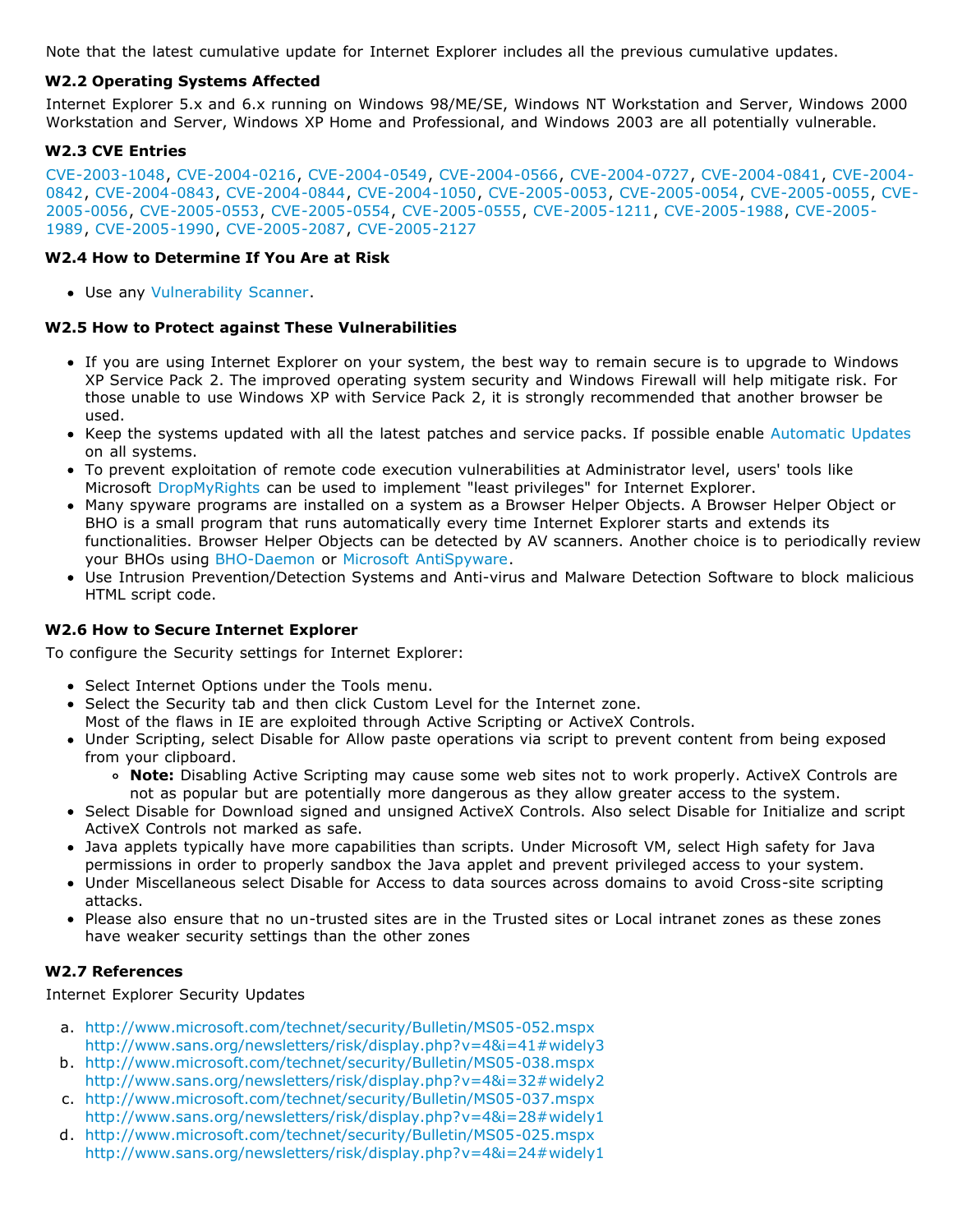Note that the latest cumulative update for Internet Explorer includes all the previous cumulative updates.

# **W2.2 Operating Systems Affected**

Internet Explorer 5.x and 6.x running on Windows 98/ME/SE, Windows NT Workstation and Server, Windows 2000 Workstation and Server, Windows XP Home and Professional, and Windows 2003 are all potentially vulnerable.

#### **W2.3 CVE Entries**

CVE-2003-1048, CVE-2004-0216, CVE-2004-0549, CVE-2004-0566, CVE-2004-0727, CVE-2004-0841, CVE-2004- 0842, CVE-2004-0843, CVE-2004-0844, CVE-2004-1050, CVE-2005-0053, CVE-2005-0054, CVE-2005-0055, CVE-2005-0056, CVE-2005-0553, CVE-2005-0554, CVE-2005-0555, CVE-2005-1211, CVE-2005-1988, CVE-2005- 1989, CVE-2005-1990, CVE-2005-2087, CVE-2005-2127

#### **W2.4 How to Determine If You Are at Risk**

Use any Vulnerability Scanner.

#### **W2.5 How to Protect against These Vulnerabilities**

- If you are using Internet Explorer on your system, the best way to remain secure is to upgrade to Windows XP Service Pack 2. The improved operating system security and Windows Firewall will help mitigate risk. For those unable to use Windows XP with Service Pack 2, it is strongly recommended that another browser be used.
- Keep the systems updated with all the latest patches and service packs. If possible enable Automatic Updates on all systems.
- To prevent exploitation of remote code execution vulnerabilities at Administrator level, users' tools like Microsoft DropMyRights can be used to implement "least privileges" for Internet Explorer.
- Many spyware programs are installed on a system as a Browser Helper Objects. A Browser Helper Object or BHO is a small program that runs automatically every time Internet Explorer starts and extends its functionalities. Browser Helper Objects can be detected by AV scanners. Another choice is to periodically review your BHOs using BHO-Daemon or Microsoft AntiSpyware.
- Use Intrusion Prevention/Detection Systems and Anti-virus and Malware Detection Software to block malicious HTML script code.

#### **W2.6 How to Secure Internet Explorer**

To configure the Security settings for Internet Explorer:

- Select Internet Options under the Tools menu.
- Select the Security tab and then click Custom Level for the Internet zone.
- Most of the flaws in IE are exploited through Active Scripting or ActiveX Controls.
- Under Scripting, select Disable for Allow paste operations via script to prevent content from being exposed from your clipboard.
	- **Note:** Disabling Active Scripting may cause some web sites not to work properly. ActiveX Controls are not as popular but are potentially more dangerous as they allow greater access to the system.
- Select Disable for Download signed and unsigned ActiveX Controls. Also select Disable for Initialize and script ActiveX Controls not marked as safe.
- Java applets typically have more capabilities than scripts. Under Microsoft VM, select High safety for Java permissions in order to properly sandbox the Java applet and prevent privileged access to your system.
- Under Miscellaneous select Disable for Access to data sources across domains to avoid Cross-site scripting attacks.
- Please also ensure that no un-trusted sites are in the Trusted sites or Local intranet zones as these zones have weaker security settings than the other zones

#### **W2.7 References**

Internet Explorer Security Updates

- a. http://www.microsoft.com/technet/security/Bulletin/MS05-052.mspx http://www.sans.org/newsletters/risk/display.php?v=4&i=41#widely3
- b. http://www.microsoft.com/technet/security/Bulletin/MS05-038.mspx http://www.sans.org/newsletters/risk/display.php?v=4&i=32#widely2
- c. http://www.microsoft.com/technet/security/Bulletin/MS05-037.mspx http://www.sans.org/newsletters/risk/display.php?v=4&i=28#widely1
- d. http://www.microsoft.com/technet/security/Bulletin/MS05-025.mspx http://www.sans.org/newsletters/risk/display.php?v=4&i=24#widely1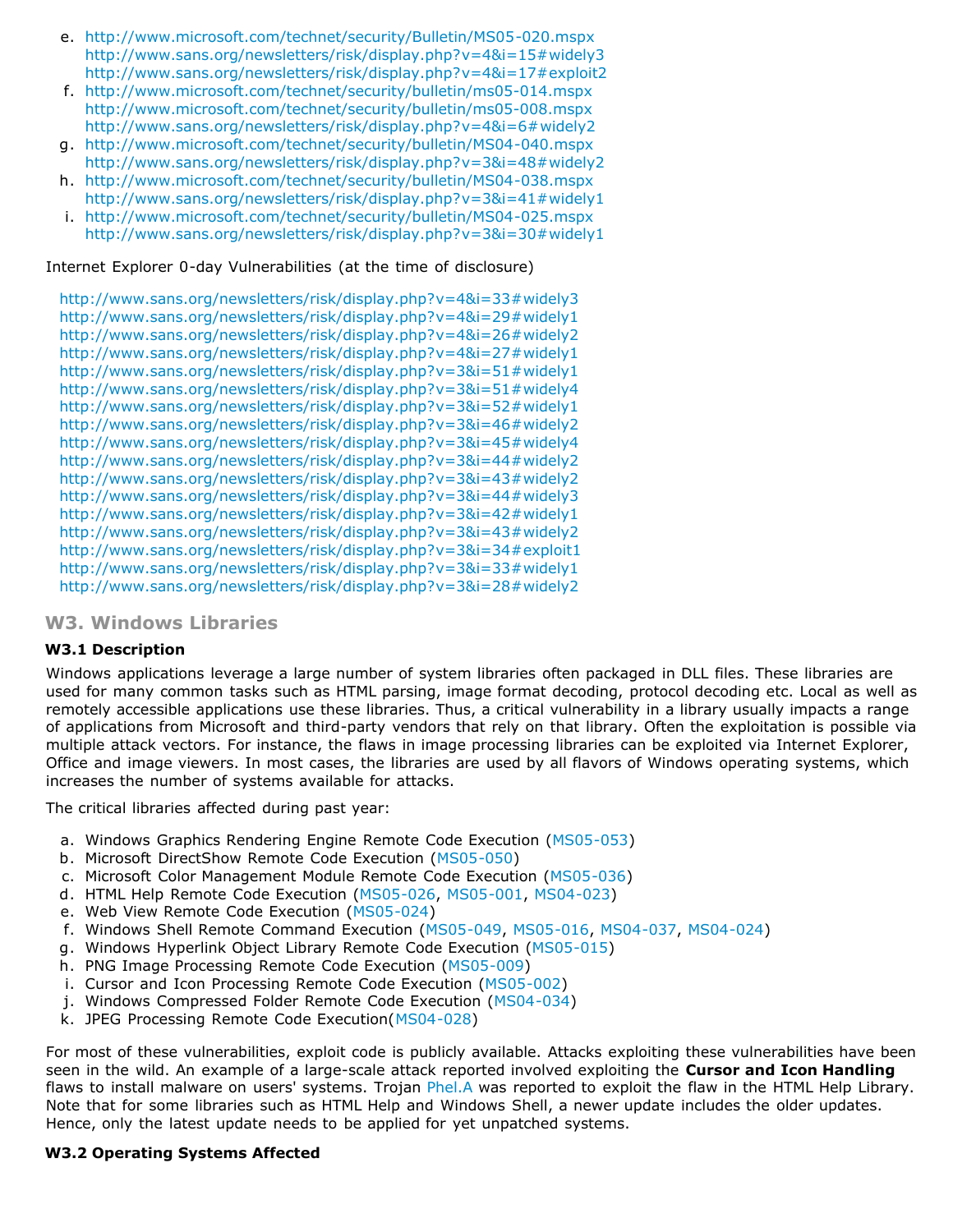- e. http://www.microsoft.com/technet/security/Bulletin/MS05-020.mspx http://www.sans.org/newsletters/risk/display.php?v=4&i=15#widely3 http://www.sans.org/newsletters/risk/display.php?v=4&i=17#exploit2
- f. http://www.microsoft.com/technet/security/bulletin/ms05-014.mspx http://www.microsoft.com/technet/security/bulletin/ms05-008.mspx http://www.sans.org/newsletters/risk/display.php?v=4&i=6#widely2
- g. http://www.microsoft.com/technet/security/bulletin/MS04-040.mspx http://www.sans.org/newsletters/risk/display.php?v=3&i=48#widely2
- h. http://www.microsoft.com/technet/security/bulletin/MS04-038.mspx http://www.sans.org/newsletters/risk/display.php?v=3&i=41#widely1
- i. http://www.microsoft.com/technet/security/bulletin/MS04-025.mspx http://www.sans.org/newsletters/risk/display.php?v=3&i=30#widely1

Internet Explorer 0-day Vulnerabilities (at the time of disclosure)

```
http://www.sans.org/newsletters/risk/display.php?v=4&i=33#widely3
http://www.sans.org/newsletters/risk/display.php?v=4&i=29#widely1
http://www.sans.org/newsletters/risk/display.php?v=4&i=26#widely2
http://www.sans.org/newsletters/risk/display.php?v=4&i=27#widely1
http://www.sans.org/newsletters/risk/display.php?v=3&i=51#widely1
http://www.sans.org/newsletters/risk/display.php?v=3&i=51#widely4
http://www.sans.org/newsletters/risk/display.php?v=3&i=52#widely1
http://www.sans.org/newsletters/risk/display.php?v=3&i=46#widely2
http://www.sans.org/newsletters/risk/display.php?v=3&i=45#widely4
http://www.sans.org/newsletters/risk/display.php?v=3&i=44#widely2
http://www.sans.org/newsletters/risk/display.php?v=3&i=43#widely2
http://www.sans.org/newsletters/risk/display.php?v=3&i=44#widely3
http://www.sans.org/newsletters/risk/display.php?v=3&i=42#widely1
http://www.sans.org/newsletters/risk/display.php?v=3&i=43#widely2
http://www.sans.org/newsletters/risk/display.php?v=3&i=34#exploit1
http://www.sans.org/newsletters/risk/display.php?v=3&i=33#widely1
http://www.sans.org/newsletters/risk/display.php?v=3&i=28#widely2
```
## **W3. Windows Libraries**

# **W3.1 Description**

Windows applications leverage a large number of system libraries often packaged in DLL files. These libraries are used for many common tasks such as HTML parsing, image format decoding, protocol decoding etc. Local as well as remotely accessible applications use these libraries. Thus, a critical vulnerability in a library usually impacts a range of applications from Microsoft and third-party vendors that rely on that library. Often the exploitation is possible via multiple attack vectors. For instance, the flaws in image processing libraries can be exploited via Internet Explorer, Office and image viewers. In most cases, the libraries are used by all flavors of Windows operating systems, which increases the number of systems available for attacks.

The critical libraries affected during past year:

- a. Windows Graphics Rendering Engine Remote Code Execution (MS05-053)
- b. Microsoft DirectShow Remote Code Execution (MS05-050)
- c. Microsoft Color Management Module Remote Code Execution (MS05-036)
- d. HTML Help Remote Code Execution (MS05-026, MS05-001, MS04-023)
- e. Web View Remote Code Execution (MS05-024)
- f. Windows Shell Remote Command Execution (MS05-049, MS05-016, MS04-037, MS04-024)
- g. Windows Hyperlink Object Library Remote Code Execution (MS05-015)
- h. PNG Image Processing Remote Code Execution (MS05-009)
- i. Cursor and Icon Processing Remote Code Execution (MS05-002)
- j. Windows Compressed Folder Remote Code Execution (MS04-034)
- k. JPEG Processing Remote Code Execution(MS04-028)

For most of these vulnerabilities, exploit code is publicly available. Attacks exploiting these vulnerabilities have been seen in the wild. An example of a large-scale attack reported involved exploiting the **Cursor and Icon Handling** flaws to install malware on users' systems. Trojan Phel.A was reported to exploit the flaw in the HTML Help Library. Note that for some libraries such as HTML Help and Windows Shell, a newer update includes the older updates. Hence, only the latest update needs to be applied for yet unpatched systems.

# **W3.2 Operating Systems Affected**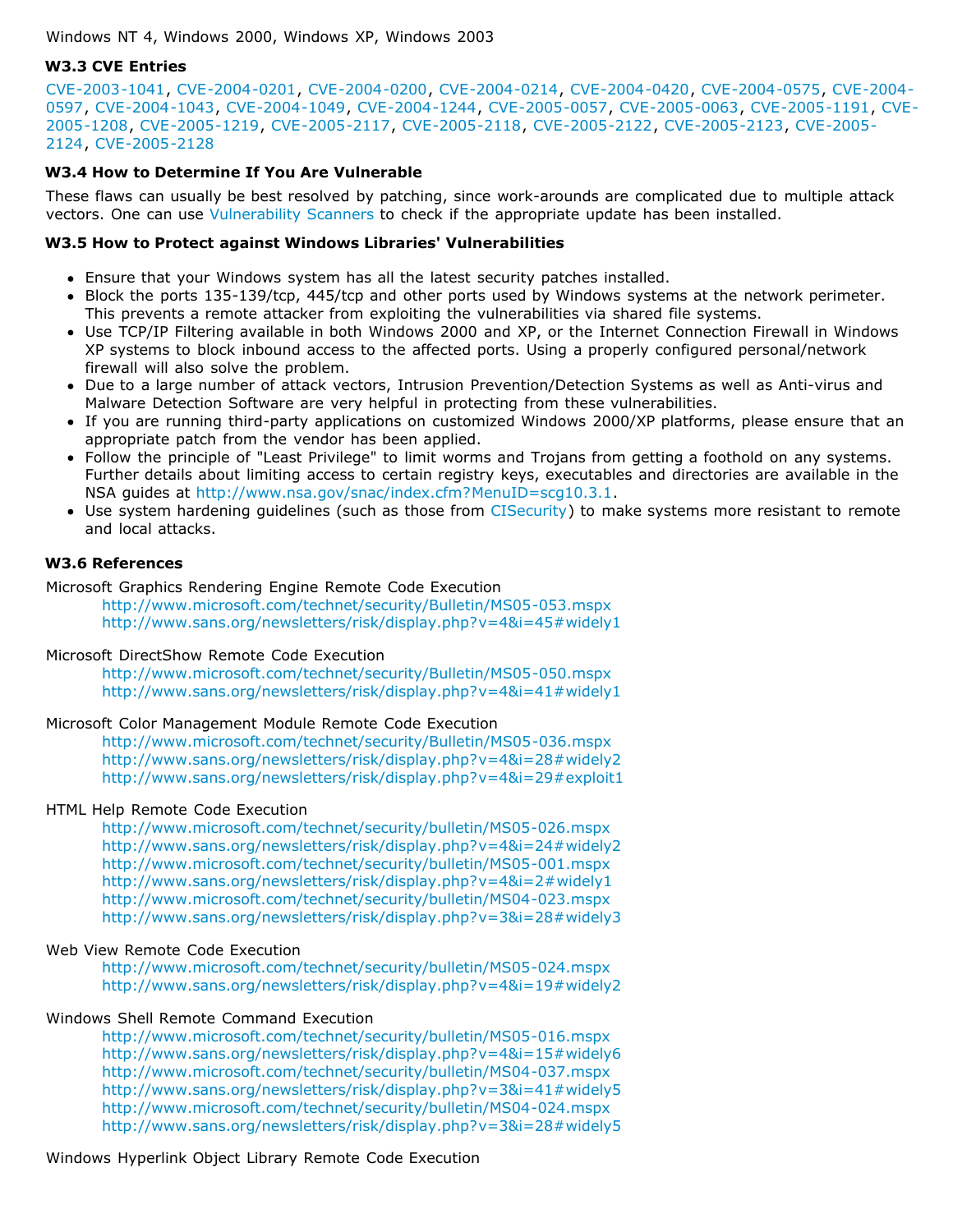Windows NT 4, Windows 2000, Windows XP, Windows 2003

#### **W3.3 CVE Entries**

CVE-2003-1041, CVE-2004-0201, CVE-2004-0200, CVE-2004-0214, CVE-2004-0420, CVE-2004-0575, CVE-2004- 0597, CVE-2004-1043, CVE-2004-1049, CVE-2004-1244, CVE-2005-0057, CVE-2005-0063, CVE-2005-1191, CVE-2005-1208, CVE-2005-1219, CVE-2005-2117, CVE-2005-2118, CVE-2005-2122, CVE-2005-2123, CVE-2005- 2124, CVE-2005-2128

# **W3.4 How to Determine If You Are Vulnerable**

These flaws can usually be best resolved by patching, since work-arounds are complicated due to multiple attack vectors. One can use Vulnerability Scanners to check if the appropriate update has been installed.

## **W3.5 How to Protect against Windows Libraries' Vulnerabilities**

- Ensure that your Windows system has all the latest security patches installed.
- Block the ports 135-139/tcp, 445/tcp and other ports used by Windows systems at the network perimeter. This prevents a remote attacker from exploiting the vulnerabilities via shared file systems.
- Use TCP/IP Filtering available in both Windows 2000 and XP, or the Internet Connection Firewall in Windows XP systems to block inbound access to the affected ports. Using a properly configured personal/network firewall will also solve the problem.
- Due to a large number of attack vectors, Intrusion Prevention/Detection Systems as well as Anti-virus and Malware Detection Software are very helpful in protecting from these vulnerabilities.
- If you are running third-party applications on customized Windows 2000/XP platforms, please ensure that an appropriate patch from the vendor has been applied.
- Follow the principle of "Least Privilege" to limit worms and Trojans from getting a foothold on any systems. Further details about limiting access to certain registry keys, executables and directories are available in the NSA guides at http://www.nsa.gov/snac/index.cfm?MenuID=scg10.3.1.
- Use system hardening guidelines (such as those from CISecurity) to make systems more resistant to remote and local attacks.

# **W3.6 References**

Microsoft Graphics Rendering Engine Remote Code Execution

http://www.microsoft.com/technet/security/Bulletin/MS05-053.mspx http://www.sans.org/newsletters/risk/display.php?v=4&i=45#widely1

#### Microsoft DirectShow Remote Code Execution

http://www.microsoft.com/technet/security/Bulletin/MS05-050.mspx http://www.sans.org/newsletters/risk/display.php?v=4&i=41#widely1

# Microsoft Color Management Module Remote Code Execution

http://www.microsoft.com/technet/security/Bulletin/MS05-036.mspx http://www.sans.org/newsletters/risk/display.php?v=4&i=28#widely2 http://www.sans.org/newsletters/risk/display.php?v=4&i=29#exploit1

#### HTML Help Remote Code Execution

http://www.microsoft.com/technet/security/bulletin/MS05-026.mspx http://www.sans.org/newsletters/risk/display.php?v=4&i=24#widely2 http://www.microsoft.com/technet/security/bulletin/MS05-001.mspx http://www.sans.org/newsletters/risk/display.php?v=4&i=2#widely1 http://www.microsoft.com/technet/security/bulletin/MS04-023.mspx http://www.sans.org/newsletters/risk/display.php?v=3&i=28#widely3

#### Web View Remote Code Execution

http://www.microsoft.com/technet/security/bulletin/MS05-024.mspx http://www.sans.org/newsletters/risk/display.php?v=4&i=19#widely2

#### Windows Shell Remote Command Execution

http://www.microsoft.com/technet/security/bulletin/MS05-016.mspx http://www.sans.org/newsletters/risk/display.php?v=4&i=15#widely6 http://www.microsoft.com/technet/security/bulletin/MS04-037.mspx http://www.sans.org/newsletters/risk/display.php?v=3&i=41#widely5 http://www.microsoft.com/technet/security/bulletin/MS04-024.mspx http://www.sans.org/newsletters/risk/display.php?v=3&i=28#widely5

# Windows Hyperlink Object Library Remote Code Execution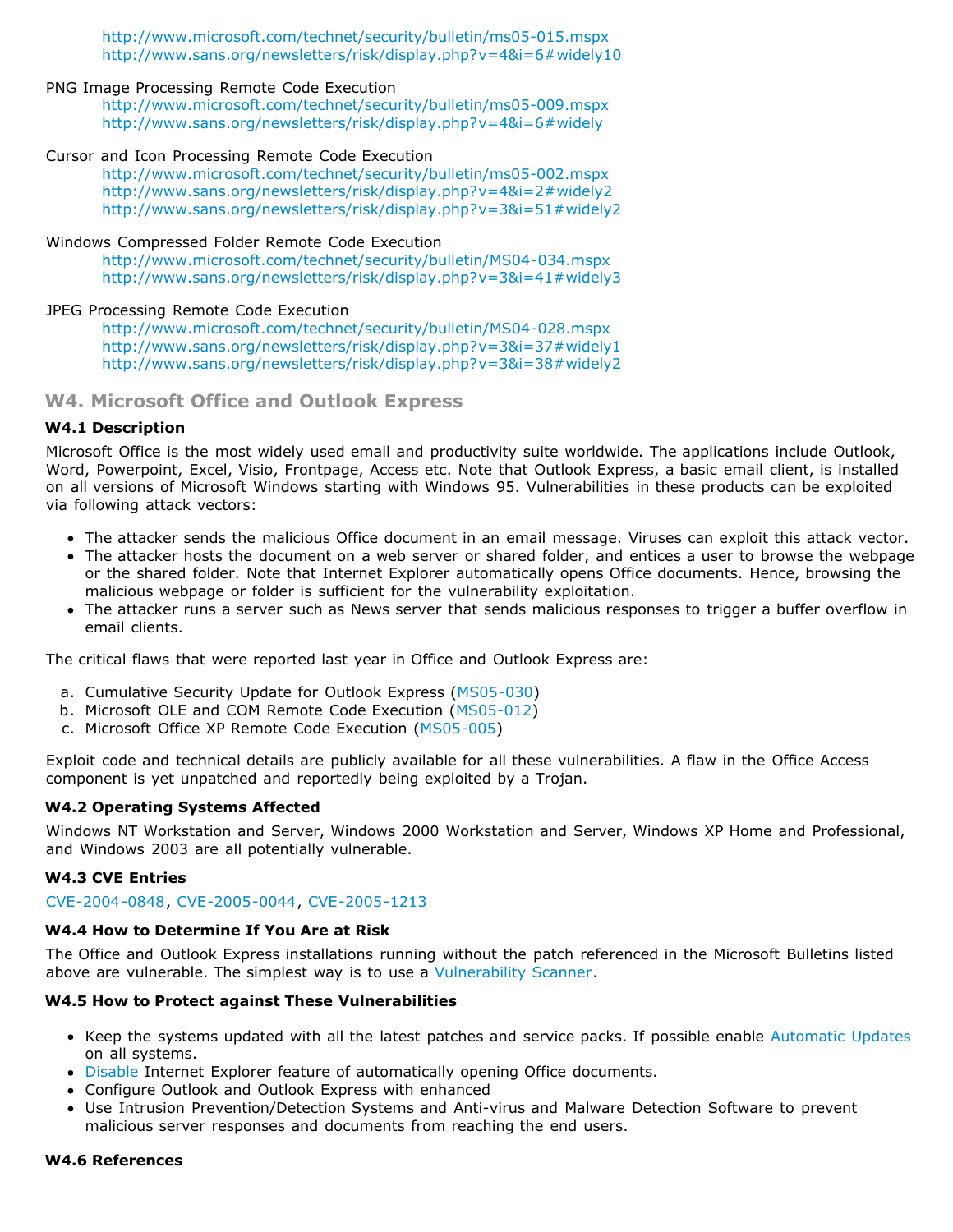http://www.microsoft.com/technet/security/bulletin/ms05-015.mspx http://www.sans.org/newsletters/risk/display.php?v=4&i=6#widely10

#### PNG Image Processing Remote Code Execution

http://www.microsoft.com/technet/security/bulletin/ms05-009.mspx http://www.sans.org/newsletters/risk/display.php?v=4&i=6#widely

#### Cursor and Icon Processing Remote Code Execution

http://www.microsoft.com/technet/security/bulletin/ms05-002.mspx http://www.sans.org/newsletters/risk/display.php?v=4&i=2#widely2 http://www.sans.org/newsletters/risk/display.php?v=3&i=51#widely2

#### Windows Compressed Folder Remote Code Execution

http://www.microsoft.com/technet/security/bulletin/MS04-034.mspx http://www.sans.org/newsletters/risk/display.php?v=3&i=41#widely3

#### JPEG Processing Remote Code Execution

http://www.microsoft.com/technet/security/bulletin/MS04-028.mspx http://www.sans.org/newsletters/risk/display.php?v=3&i=37#widely1 http://www.sans.org/newsletters/risk/display.php?v=3&i=38#widely2

### **W4. Microsoft Office and Outlook Express**

#### **W4.1 Description**

Microsoft Office is the most widely used email and productivity suite worldwide. The applications include Outlook, Word, Powerpoint, Excel, Visio, Frontpage, Access etc. Note that Outlook Express, a basic email client, is installed on all versions of Microsoft Windows starting with Windows 95. Vulnerabilities in these products can be exploited via following attack vectors:

- The attacker sends the malicious Office document in an email message. Viruses can exploit this attack vector.
- The attacker hosts the document on a web server or shared folder, and entices a user to browse the webpage or the shared folder. Note that Internet Explorer automatically opens Office documents. Hence, browsing the malicious webpage or folder is sufficient for the vulnerability exploitation.
- The attacker runs a server such as News server that sends malicious responses to trigger a buffer overflow in email clients.

The critical flaws that were reported last year in Office and Outlook Express are:

- a. Cumulative Security Update for Outlook Express (MS05-030)
- b. Microsoft OLE and COM Remote Code Execution (MS05-012)
- c. Microsoft Office XP Remote Code Execution (MS05-005)

Exploit code and technical details are publicly available for all these vulnerabilities. A flaw in the Office Access component is yet unpatched and reportedly being exploited by a Trojan.

#### **W4.2 Operating Systems Affected**

Windows NT Workstation and Server, Windows 2000 Workstation and Server, Windows XP Home and Professional, and Windows 2003 are all potentially vulnerable.

#### **W4.3 CVE Entries**

### CVE-2004-0848, CVE-2005-0044, CVE-2005-1213

#### **W4.4 How to Determine If You Are at Risk**

The Office and Outlook Express installations running without the patch referenced in the Microsoft Bulletins listed above are vulnerable. The simplest way is to use a Vulnerability Scanner.

#### **W4.5 How to Protect against These Vulnerabilities**

- Keep the systems updated with all the latest patches and service packs. If possible enable Automatic Updates on all systems.
- Disable Internet Explorer feature of automatically opening Office documents.
- Configure Outlook and Outlook Express with enhanced
- Use Intrusion Prevention/Detection Systems and Anti-virus and Malware Detection Software to prevent malicious server responses and documents from reaching the end users.

#### **W4.6 References**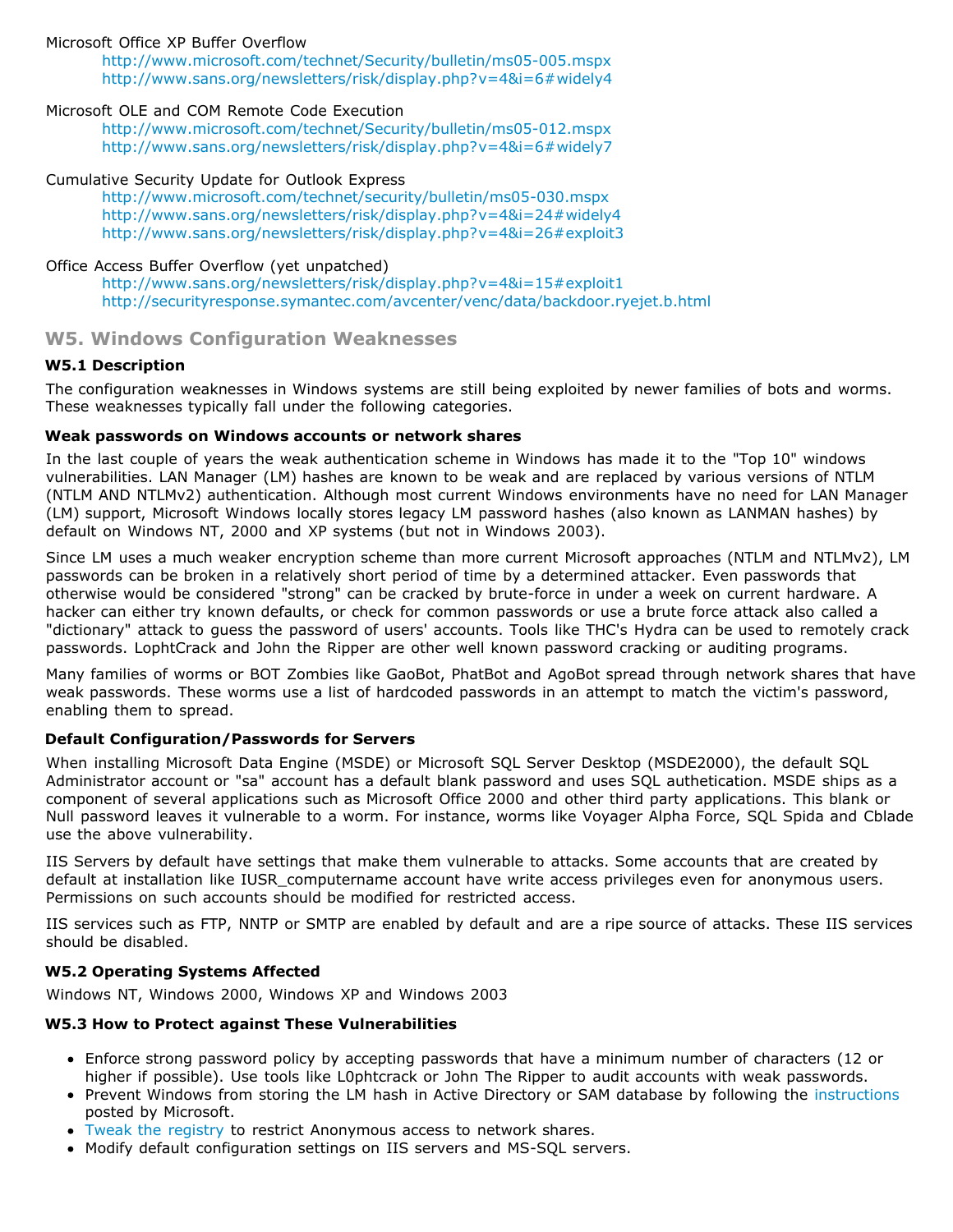# Microsoft Office XP Buffer Overflow

http://www.microsoft.com/technet/Security/bulletin/ms05-005.mspx http://www.sans.org/newsletters/risk/display.php?v=4&i=6#widely4

#### Microsoft OLE and COM Remote Code Execution

http://www.microsoft.com/technet/Security/bulletin/ms05-012.mspx http://www.sans.org/newsletters/risk/display.php?v=4&i=6#widely7

## Cumulative Security Update for Outlook Express

http://www.microsoft.com/technet/security/bulletin/ms05-030.mspx http://www.sans.org/newsletters/risk/display.php?v=4&i=24#widely4 http://www.sans.org/newsletters/risk/display.php?v=4&i=26#exploit3

### Office Access Buffer Overflow (yet unpatched)

http://www.sans.org/newsletters/risk/display.php?v=4&i=15#exploit1 http://securityresponse.symantec.com/avcenter/venc/data/backdoor.ryejet.b.html

# **W5. Windows Configuration Weaknesses**

## **W5.1 Description**

The configuration weaknesses in Windows systems are still being exploited by newer families of bots and worms. These weaknesses typically fall under the following categories.

# **Weak passwords on Windows accounts or network shares**

In the last couple of years the weak authentication scheme in Windows has made it to the "Top 10" windows vulnerabilities. LAN Manager (LM) hashes are known to be weak and are replaced by various versions of NTLM (NTLM AND NTLMv2) authentication. Although most current Windows environments have no need for LAN Manager (LM) support, Microsoft Windows locally stores legacy LM password hashes (also known as LANMAN hashes) by default on Windows NT, 2000 and XP systems (but not in Windows 2003).

Since LM uses a much weaker encryption scheme than more current Microsoft approaches (NTLM and NTLMv2), LM passwords can be broken in a relatively short period of time by a determined attacker. Even passwords that otherwise would be considered "strong" can be cracked by brute-force in under a week on current hardware. A hacker can either try known defaults, or check for common passwords or use a brute force attack also called a "dictionary" attack to guess the password of users' accounts. Tools like THC's Hydra can be used to remotely crack passwords. LophtCrack and John the Ripper are other well known password cracking or auditing programs.

Many families of worms or BOT Zombies like GaoBot, PhatBot and AgoBot spread through network shares that have weak passwords. These worms use a list of hardcoded passwords in an attempt to match the victim's password, enabling them to spread.

# **Default Configuration/Passwords for Servers**

When installing Microsoft Data Engine (MSDE) or Microsoft SQL Server Desktop (MSDE2000), the default SQL Administrator account or "sa" account has a default blank password and uses SQL authetication. MSDE ships as a component of several applications such as Microsoft Office 2000 and other third party applications. This blank or Null password leaves it vulnerable to a worm. For instance, worms like Voyager Alpha Force, SQL Spida and Cblade use the above vulnerability.

IIS Servers by default have settings that make them vulnerable to attacks. Some accounts that are created by default at installation like IUSR\_computername account have write access privileges even for anonymous users. Permissions on such accounts should be modified for restricted access.

IIS services such as FTP, NNTP or SMTP are enabled by default and are a ripe source of attacks. These IIS services should be disabled.

#### **W5.2 Operating Systems Affected**

Windows NT, Windows 2000, Windows XP and Windows 2003

#### **W5.3 How to Protect against These Vulnerabilities**

- Enforce strong password policy by accepting passwords that have a minimum number of characters (12 or higher if possible). Use tools like L0phtcrack or John The Ripper to audit accounts with weak passwords.
- Prevent Windows from storing the LM hash in Active Directory or SAM database by following the instructions posted by Microsoft.
- Tweak the registry to restrict Anonymous access to network shares.
- Modify default configuration settings on IIS servers and MS-SQL servers.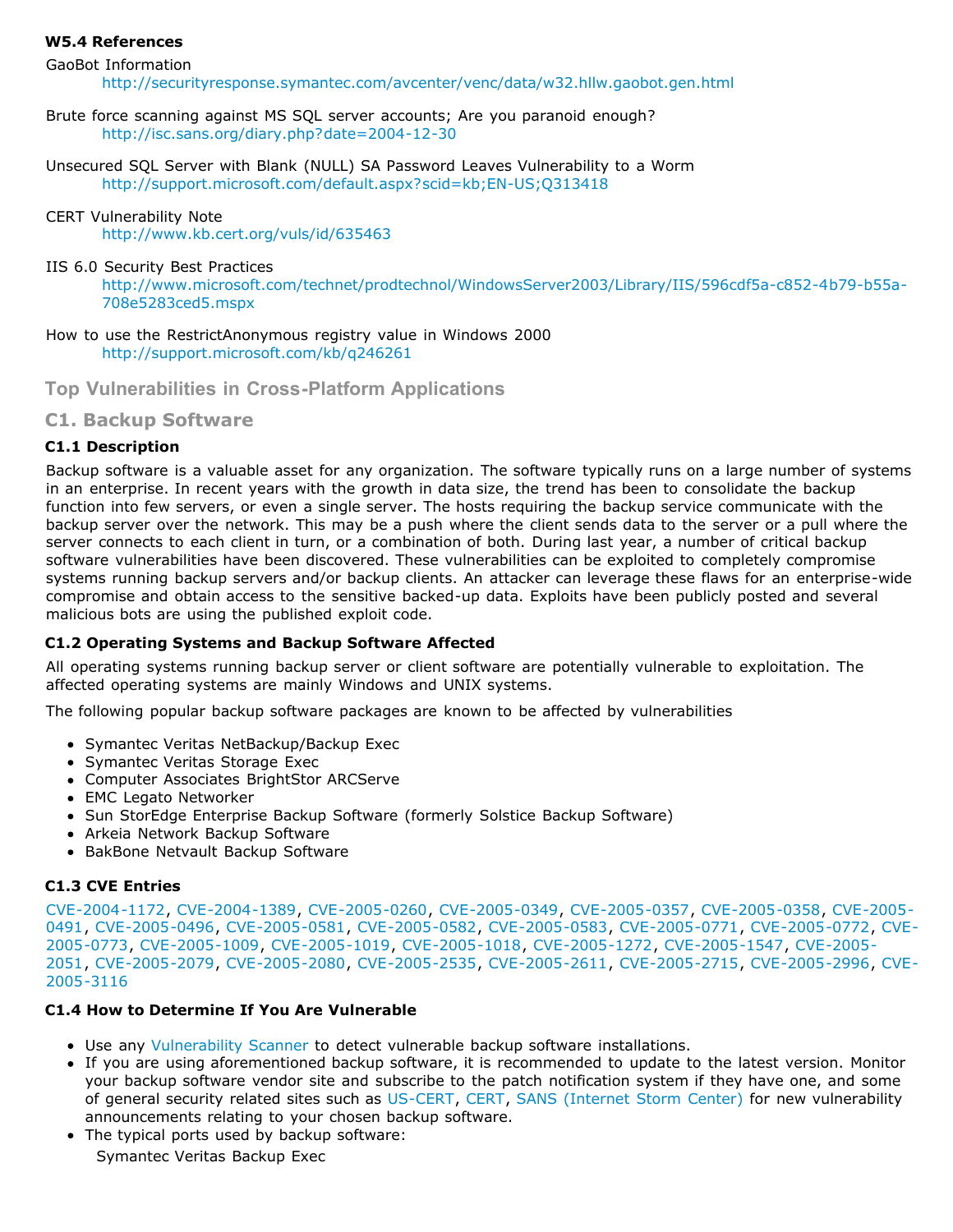#### **W5.4 References**

GaoBot Information

http://securityresponse.symantec.com/avcenter/venc/data/w32.hllw.gaobot.gen.html

Brute force scanning against MS SQL server accounts; Are you paranoid enough? http://isc.sans.org/diary.php?date=2004-12-30

Unsecured SQL Server with Blank (NULL) SA Password Leaves Vulnerability to a Worm http://support.microsoft.com/default.aspx?scid=kb;EN-US;Q313418

CERT Vulnerability Note http://www.kb.cert.org/vuls/id/635463

IIS 6.0 Security Best Practices

http://www.microsoft.com/technet/prodtechnol/WindowsServer2003/Library/IIS/596cdf5a-c852-4b79-b55a-708e5283ced5.mspx

How to use the RestrictAnonymous registry value in Windows 2000 http://support.microsoft.com/kb/q246261

**Top Vulnerabilities in Cross-Platform Applications**

# **C1. Backup Software**

# **C1.1 Description**

Backup software is a valuable asset for any organization. The software typically runs on a large number of systems in an enterprise. In recent years with the growth in data size, the trend has been to consolidate the backup function into few servers, or even a single server. The hosts requiring the backup service communicate with the backup server over the network. This may be a push where the client sends data to the server or a pull where the server connects to each client in turn, or a combination of both. During last year, a number of critical backup software vulnerabilities have been discovered. These vulnerabilities can be exploited to completely compromise systems running backup servers and/or backup clients. An attacker can leverage these flaws for an enterprise-wide compromise and obtain access to the sensitive backed-up data. Exploits have been publicly posted and several malicious bots are using the published exploit code.

#### **C1.2 Operating Systems and Backup Software Affected**

All operating systems running backup server or client software are potentially vulnerable to exploitation. The affected operating systems are mainly Windows and UNIX systems.

The following popular backup software packages are known to be affected by vulnerabilities

- Symantec Veritas NetBackup/Backup Exec
- Symantec Veritas Storage Exec
- Computer Associates BrightStor ARCServe
- EMC Legato Networker
- Sun StorEdge Enterprise Backup Software (formerly Solstice Backup Software)
- Arkeia Network Backup Software
- BakBone Netvault Backup Software

#### **C1.3 CVE Entries**

CVE-2004-1172, CVE-2004-1389, CVE-2005-0260, CVE-2005-0349, CVE-2005-0357, CVE-2005-0358, CVE-2005- 0491, CVE-2005-0496, CVE-2005-0581, CVE-2005-0582, CVE-2005-0583, CVE-2005-0771, CVE-2005-0772, CVE-2005-0773, CVE-2005-1009, CVE-2005-1019, CVE-2005-1018, CVE-2005-1272, CVE-2005-1547, CVE-2005- 2051, CVE-2005-2079, CVE-2005-2080, CVE-2005-2535, CVE-2005-2611, CVE-2005-2715, CVE-2005-2996, CVE-2005-3116

# **C1.4 How to Determine If You Are Vulnerable**

- Use any Vulnerability Scanner to detect vulnerable backup software installations.
- If you are using aforementioned backup software, it is recommended to update to the latest version. Monitor your backup software vendor site and subscribe to the patch notification system if they have one, and some of general security related sites such as US-CERT, CERT, SANS (Internet Storm Center) for new vulnerability announcements relating to your chosen backup software.
- The typical ports used by backup software: Symantec Veritas Backup Exec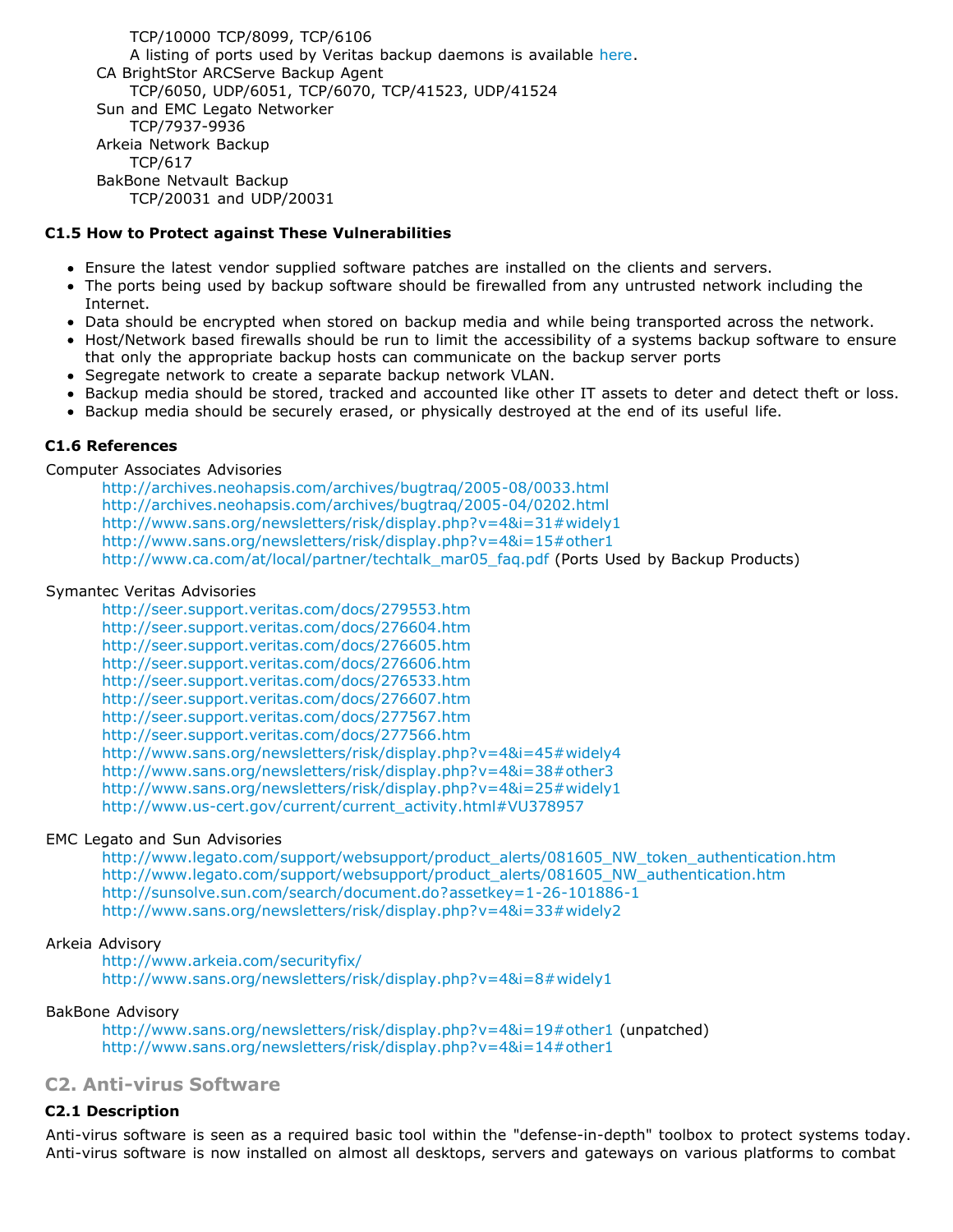TCP/10000 TCP/8099, TCP/6106 A listing of ports used by Veritas backup daemons is available here. CA BrightStor ARCServe Backup Agent TCP/6050, UDP/6051, TCP/6070, TCP/41523, UDP/41524 Sun and EMC Legato Networker TCP/7937-9936 Arkeia Network Backup TCP/617 BakBone Netvault Backup TCP/20031 and UDP/20031

# **C1.5 How to Protect against These Vulnerabilities**

- Ensure the latest vendor supplied software patches are installed on the clients and servers.
- The ports being used by backup software should be firewalled from any untrusted network including the Internet.
- Data should be encrypted when stored on backup media and while being transported across the network.
- Host/Network based firewalls should be run to limit the accessibility of a systems backup software to ensure that only the appropriate backup hosts can communicate on the backup server ports
- Segregate network to create a separate backup network VLAN.
- Backup media should be stored, tracked and accounted like other IT assets to deter and detect theft or loss.
- Backup media should be securely erased, or physically destroyed at the end of its useful life.

# **C1.6 References**

#### Computer Associates Advisories

http://archives.neohapsis.com/archives/bugtraq/2005-08/0033.html http://archives.neohapsis.com/archives/bugtraq/2005-04/0202.html http://www.sans.org/newsletters/risk/display.php?v=4&i=31#widely1 http://www.sans.org/newsletters/risk/display.php?v=4&i=15#other1 http://www.ca.com/at/local/partner/techtalk\_mar05\_faq.pdf (Ports Used by Backup Products)

# Symantec Veritas Advisories

http://seer.support.veritas.com/docs/279553.htm http://seer.support.veritas.com/docs/276604.htm http://seer.support.veritas.com/docs/276605.htm http://seer.support.veritas.com/docs/276606.htm http://seer.support.veritas.com/docs/276533.htm http://seer.support.veritas.com/docs/276607.htm http://seer.support.veritas.com/docs/277567.htm http://seer.support.veritas.com/docs/277566.htm http://www.sans.org/newsletters/risk/display.php?v=4&i=45#widely4 http://www.sans.org/newsletters/risk/display.php?v=4&i=38#other3 http://www.sans.org/newsletters/risk/display.php?v=4&i=25#widely1 http://www.us-cert.gov/current/current\_activity.html#VU378957

# EMC Legato and Sun Advisories

http://www.legato.com/support/websupport/product\_alerts/081605\_NW\_token\_authentication.htm http://www.legato.com/support/websupport/product\_alerts/081605\_NW\_authentication.htm http://sunsolve.sun.com/search/document.do?assetkey=1-26-101886-1 http://www.sans.org/newsletters/risk/display.php?v=4&i=33#widely2

# Arkeia Advisory

http://www.arkeia.com/securityfix/ http://www.sans.org/newsletters/risk/display.php?v=4&i=8#widely1

#### BakBone Advisory

http://www.sans.org/newsletters/risk/display.php?v=4&i=19#other1 (unpatched) http://www.sans.org/newsletters/risk/display.php?v=4&i=14#other1

# **C2. Anti-virus Software**

# **C2.1 Description**

Anti-virus software is seen as a required basic tool within the "defense-in-depth" toolbox to protect systems today. Anti-virus software is now installed on almost all desktops, servers and gateways on various platforms to combat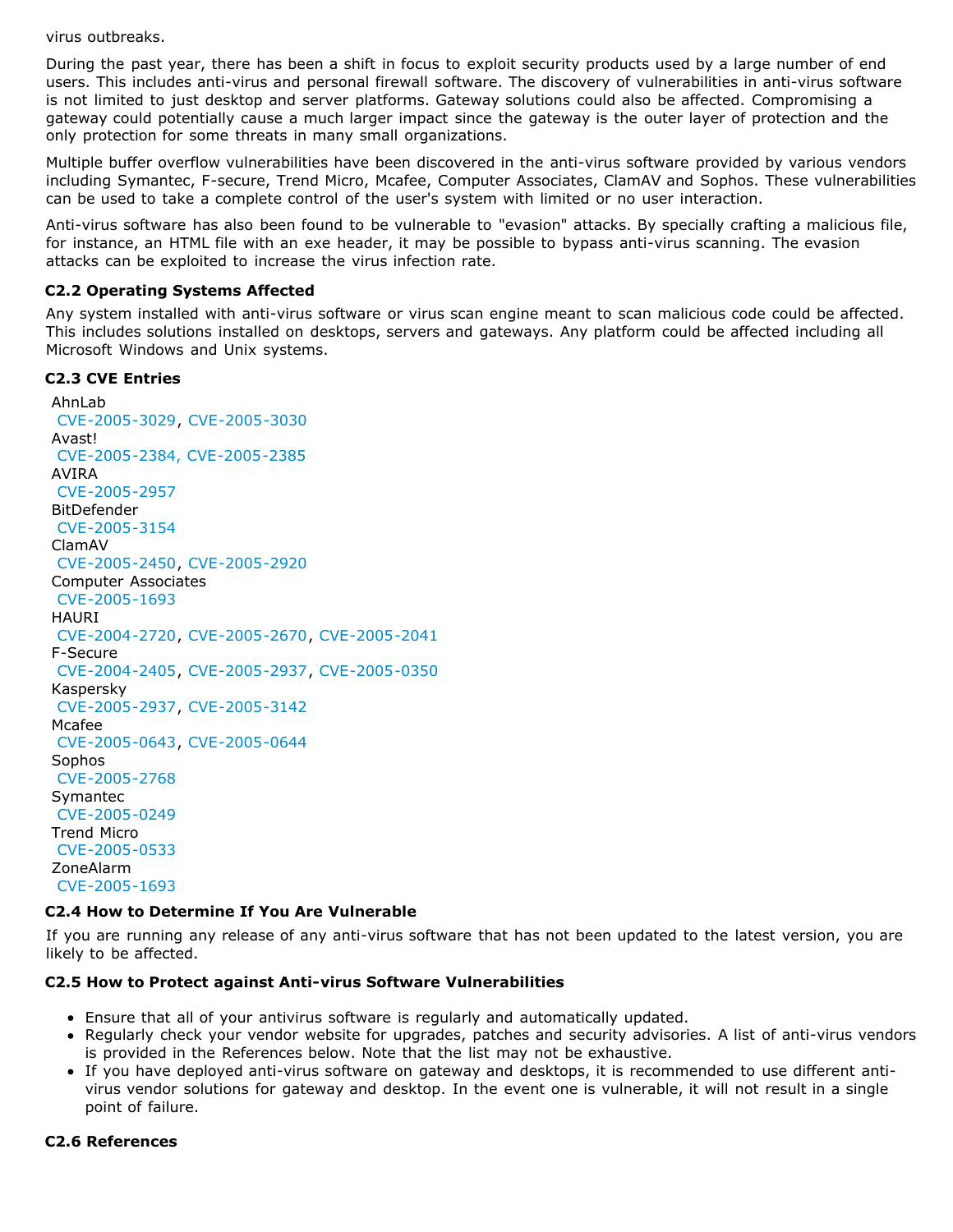virus outbreaks.

During the past year, there has been a shift in focus to exploit security products used by a large number of end users. This includes anti-virus and personal firewall software. The discovery of vulnerabilities in anti-virus software is not limited to just desktop and server platforms. Gateway solutions could also be affected. Compromising a gateway could potentially cause a much larger impact since the gateway is the outer layer of protection and the only protection for some threats in many small organizations.

Multiple buffer overflow vulnerabilities have been discovered in the anti-virus software provided by various vendors including Symantec, F-secure, Trend Micro, Mcafee, Computer Associates, ClamAV and Sophos. These vulnerabilities can be used to take a complete control of the user's system with limited or no user interaction.

Anti-virus software has also been found to be vulnerable to "evasion" attacks. By specially crafting a malicious file, for instance, an HTML file with an exe header, it may be possible to bypass anti-virus scanning. The evasion attacks can be exploited to increase the virus infection rate.

# **C2.2 Operating Systems Affected**

Any system installed with anti-virus software or virus scan engine meant to scan malicious code could be affected. This includes solutions installed on desktops, servers and gateways. Any platform could be affected including all Microsoft Windows and Unix systems.

#### **C2.3 CVE Entries**

AhnLab CVE-2005-3029, CVE-2005-3030 Avast! CVE-2005-2384, CVE-2005-2385 AVIRA CVE-2005-2957 BitDefender CVE-2005-3154 ClamAV CVE-2005-2450, CVE-2005-2920 Computer Associates CVE-2005-1693 HAURI CVE-2004-2720, CVE-2005-2670, CVE-2005-2041 F-Secure CVE-2004-2405, CVE-2005-2937, CVE-2005-0350 Kaspersky CVE-2005-2937, CVE-2005-3142 Mcafee CVE-2005-0643, CVE-2005-0644 Sophos CVE-2005-2768 Symantec CVE-2005-0249 Trend Micro CVE-2005-0533 ZoneAlarm CVE-2005-1693

# **C2.4 How to Determine If You Are Vulnerable**

If you are running any release of any anti-virus software that has not been updated to the latest version, you are likely to be affected.

#### **C2.5 How to Protect against Anti-virus Software Vulnerabilities**

- Ensure that all of your antivirus software is regularly and automatically updated.
- Regularly check your vendor website for upgrades, patches and security advisories. A list of anti-virus vendors is provided in the References below. Note that the list may not be exhaustive.
- If you have deployed anti-virus software on gateway and desktops, it is recommended to use different antivirus vendor solutions for gateway and desktop. In the event one is vulnerable, it will not result in a single point of failure.

#### **C2.6 References**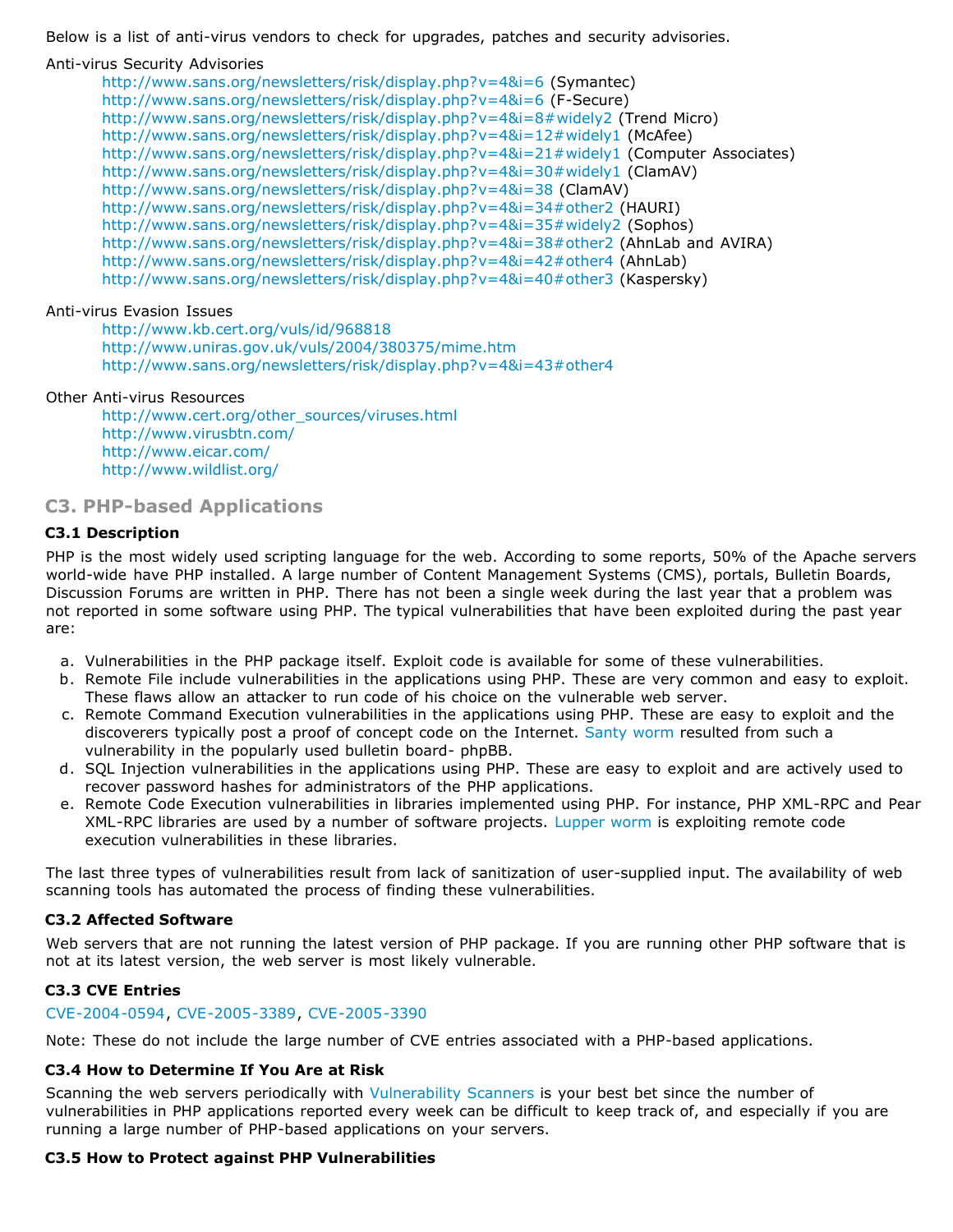Below is a list of anti-virus vendors to check for upgrades, patches and security advisories.

### Anti-virus Security Advisories

http://www.sans.org/newsletters/risk/display.php?v=4&i=6 (Symantec) http://www.sans.org/newsletters/risk/display.php?v=4&i=6 (F-Secure) http://www.sans.org/newsletters/risk/display.php?v=4&i=8#widely2 (Trend Micro) http://www.sans.org/newsletters/risk/display.php?v=4&i=12#widely1 (McAfee) http://www.sans.org/newsletters/risk/display.php?v=4&i=21#widely1 (Computer Associates) http://www.sans.org/newsletters/risk/display.php?v=4&i=30#widely1 (ClamAV) http://www.sans.org/newsletters/risk/display.php?v=4&i=38 (ClamAV) http://www.sans.org/newsletters/risk/display.php?v=4&i=34#other2 (HAURI) http://www.sans.org/newsletters/risk/display.php?v=4&i=35#widely2 (Sophos) http://www.sans.org/newsletters/risk/display.php?v=4&i=38#other2 (AhnLab and AVIRA) http://www.sans.org/newsletters/risk/display.php?v=4&i=42#other4 (AhnLab) http://www.sans.org/newsletters/risk/display.php?v=4&i=40#other3 (Kaspersky)

### Anti-virus Evasion Issues

```
http://www.kb.cert.org/vuls/id/968818
http://www.uniras.gov.uk/vuls/2004/380375/mime.htm
http://www.sans.org/newsletters/risk/display.php?v=4&i=43#other4
```
# Other Anti-virus Resources

http://www.cert.org/other\_sources/viruses.html http://www.virusbtn.com/ http://www.eicar.com/ http://www.wildlist.org/

# **C3. PHP-based Applications**

# **C3.1 Description**

PHP is the most widely used scripting language for the web. According to some reports, 50% of the Apache servers world-wide have PHP installed. A large number of Content Management Systems (CMS), portals, Bulletin Boards, Discussion Forums are written in PHP. There has not been a single week during the last year that a problem was not reported in some software using PHP. The typical vulnerabilities that have been exploited during the past year are:

- a. Vulnerabilities in the PHP package itself. Exploit code is available for some of these vulnerabilities.
- b. Remote File include vulnerabilities in the applications using PHP. These are very common and easy to exploit. These flaws allow an attacker to run code of his choice on the vulnerable web server.
- c. Remote Command Execution vulnerabilities in the applications using PHP. These are easy to exploit and the discoverers typically post a proof of concept code on the Internet. Santy worm resulted from such a vulnerability in the popularly used bulletin board- phpBB.
- d. SQL Injection vulnerabilities in the applications using PHP. These are easy to exploit and are actively used to recover password hashes for administrators of the PHP applications.
- e. Remote Code Execution vulnerabilities in libraries implemented using PHP. For instance, PHP XML-RPC and Pear XML-RPC libraries are used by a number of software projects. Lupper worm is exploiting remote code execution vulnerabilities in these libraries.

The last three types of vulnerabilities result from lack of sanitization of user-supplied input. The availability of web scanning tools has automated the process of finding these vulnerabilities.

# **C3.2 Affected Software**

Web servers that are not running the latest version of PHP package. If you are running other PHP software that is not at its latest version, the web server is most likely vulnerable.

#### **C3.3 CVE Entries**

# CVE-2004-0594, CVE-2005-3389, CVE-2005-3390

Note: These do not include the large number of CVE entries associated with a PHP-based applications.

# **C3.4 How to Determine If You Are at Risk**

Scanning the web servers periodically with Vulnerability Scanners is your best bet since the number of vulnerabilities in PHP applications reported every week can be difficult to keep track of, and especially if you are running a large number of PHP-based applications on your servers.

# **C3.5 How to Protect against PHP Vulnerabilities**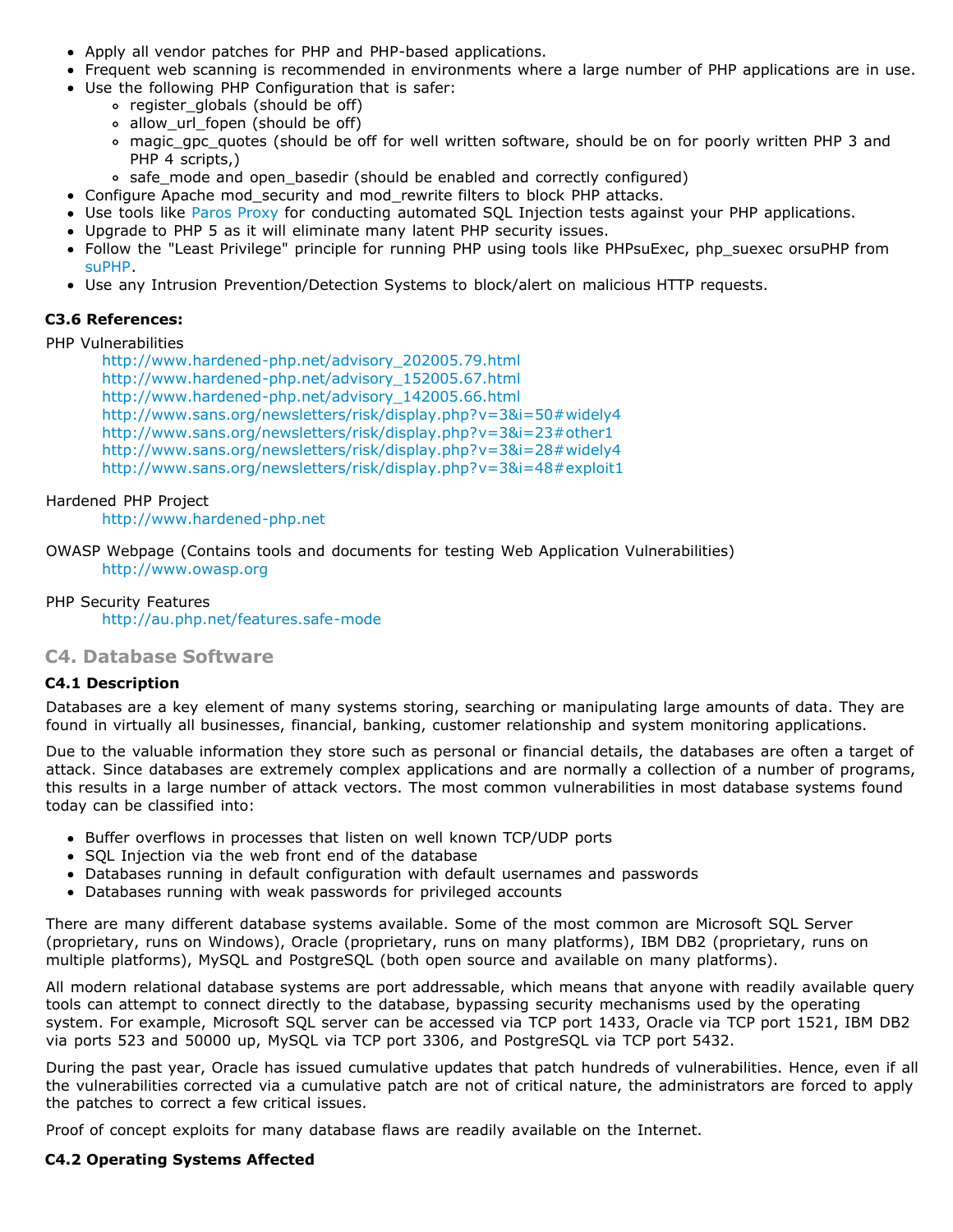- Apply all vendor patches for PHP and PHP-based applications.
- Frequent web scanning is recommended in environments where a large number of PHP applications are in use.
- Use the following PHP Configuration that is safer:
	- register globals (should be off)
	- allow url fopen (should be off)
	- magic\_gpc\_quotes (should be off for well written software, should be on for poorly written PHP 3 and PHP 4 scripts,)
	- $\circ$  safe mode and open basedir (should be enabled and correctly configured)
- Configure Apache mod\_security and mod\_rewrite filters to block PHP attacks.
- Use tools like Paros Proxy for conducting automated SQL Injection tests against your PHP applications.
- Upgrade to PHP 5 as it will eliminate many latent PHP security issues.
- Follow the "Least Privilege" principle for running PHP using tools like PHPsuExec, php\_suexec orsuPHP from suPHP.
- Use any Intrusion Prevention/Detection Systems to block/alert on malicious HTTP requests.

# **C3.6 References:**

PHP Vulnerabilities

http://www.hardened-php.net/advisory\_202005.79.html http://www.hardened-php.net/advisory\_152005.67.html http://www.hardened-php.net/advisory\_142005.66.html http://www.sans.org/newsletters/risk/display.php?v=3&i=50#widely4 http://www.sans.org/newsletters/risk/display.php?v=3&i=23#other1 http://www.sans.org/newsletters/risk/display.php?v=3&i=28#widely4 http://www.sans.org/newsletters/risk/display.php?v=3&i=48#exploit1

# Hardened PHP Project

http://www.hardened-php.net

OWASP Webpage (Contains tools and documents for testing Web Application Vulnerabilities) http://www.owasp.org

PHP Security Features http://au.php.net/features.safe-mode

# **C4. Database Software**

# **C4.1 Description**

Databases are a key element of many systems storing, searching or manipulating large amounts of data. They are found in virtually all businesses, financial, banking, customer relationship and system monitoring applications.

Due to the valuable information they store such as personal or financial details, the databases are often a target of attack. Since databases are extremely complex applications and are normally a collection of a number of programs, this results in a large number of attack vectors. The most common vulnerabilities in most database systems found today can be classified into:

- Buffer overflows in processes that listen on well known TCP/UDP ports
- SQL Injection via the web front end of the database
- Databases running in default configuration with default usernames and passwords
- Databases running with weak passwords for privileged accounts

There are many different database systems available. Some of the most common are Microsoft SQL Server (proprietary, runs on Windows), Oracle (proprietary, runs on many platforms), IBM DB2 (proprietary, runs on multiple platforms), MySQL and PostgreSQL (both open source and available on many platforms).

All modern relational database systems are port addressable, which means that anyone with readily available query tools can attempt to connect directly to the database, bypassing security mechanisms used by the operating system. For example, Microsoft SQL server can be accessed via TCP port 1433, Oracle via TCP port 1521, IBM DB2 via ports 523 and 50000 up, MySQL via TCP port 3306, and PostgreSQL via TCP port 5432.

During the past year, Oracle has issued cumulative updates that patch hundreds of vulnerabilities. Hence, even if all the vulnerabilities corrected via a cumulative patch are not of critical nature, the administrators are forced to apply the patches to correct a few critical issues.

Proof of concept exploits for many database flaws are readily available on the Internet.

# **C4.2 Operating Systems Affected**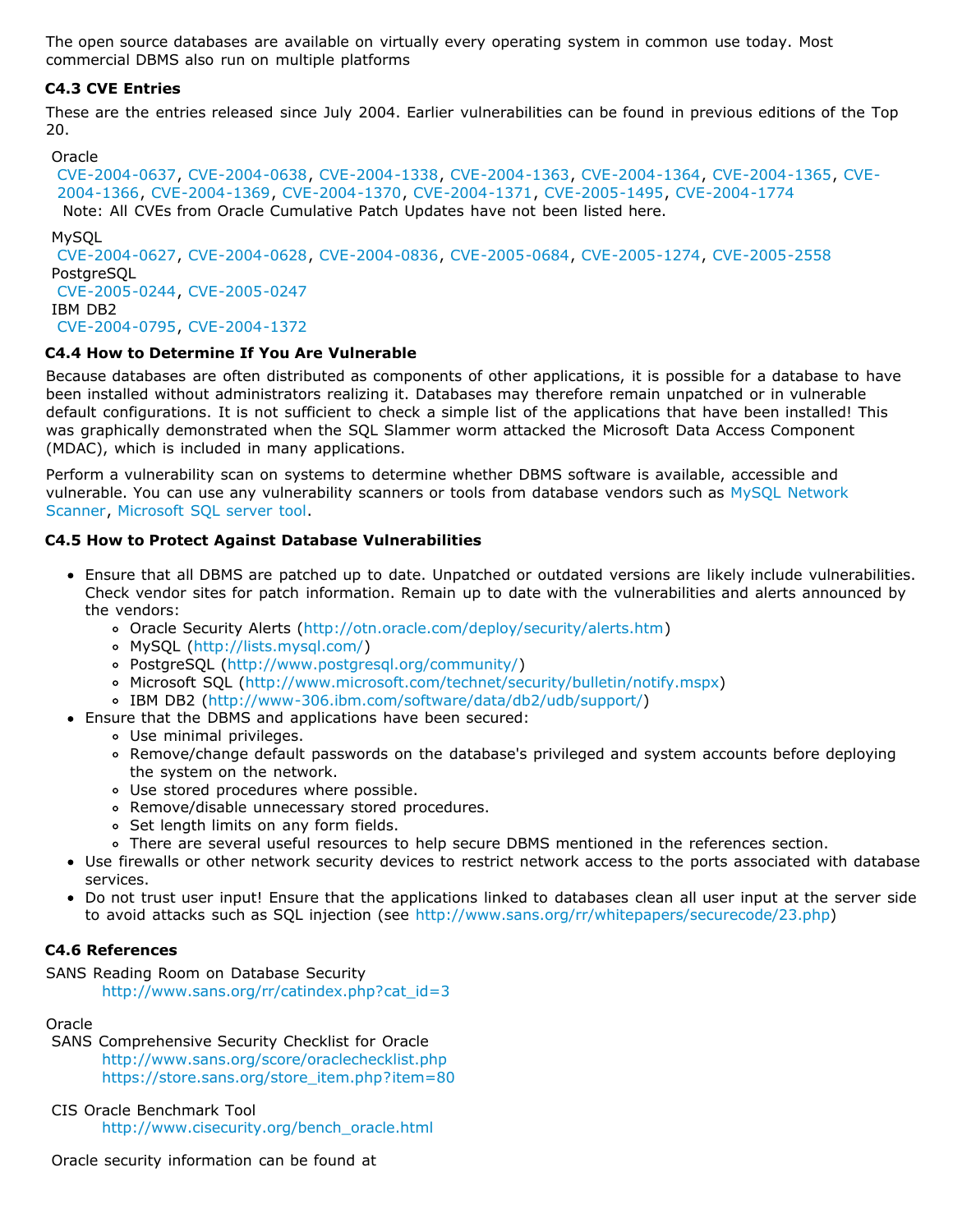The open source databases are available on virtually every operating system in common use today. Most commercial DBMS also run on multiple platforms

# **C4.3 CVE Entries**

These are the entries released since July 2004. Earlier vulnerabilities can be found in previous editions of the Top 20.

#### Oracle

CVE-2004-0637, CVE-2004-0638, CVE-2004-1338, CVE-2004-1363, CVE-2004-1364, CVE-2004-1365, CVE-2004-1366, CVE-2004-1369, CVE-2004-1370, CVE-2004-1371, CVE-2005-1495, CVE-2004-1774 Note: All CVEs from Oracle Cumulative Patch Updates have not been listed here.

MySQL CVE-2004-0627, CVE-2004-0628, CVE-2004-0836, CVE-2005-0684, CVE-2005-1274, CVE-2005-2558 PostgreSQL CVE-2005-0244, CVE-2005-0247 IBM DB2 CVE-2004-0795, CVE-2004-1372

#### **C4.4 How to Determine If You Are Vulnerable**

Because databases are often distributed as components of other applications, it is possible for a database to have been installed without administrators realizing it. Databases may therefore remain unpatched or in vulnerable default configurations. It is not sufficient to check a simple list of the applications that have been installed! This was graphically demonstrated when the SQL Slammer worm attacked the Microsoft Data Access Component (MDAC), which is included in many applications.

Perform a vulnerability scan on systems to determine whether DBMS software is available, accessible and vulnerable. You can use any vulnerability scanners or tools from database vendors such as MySQL Network Scanner, Microsoft SQL server tool.

# **C4.5 How to Protect Against Database Vulnerabilities**

- Ensure that all DBMS are patched up to date. Unpatched or outdated versions are likely include vulnerabilities. Check vendor sites for patch information. Remain up to date with the vulnerabilities and alerts announced by the vendors:
	- Oracle Security Alerts (http://otn.oracle.com/deploy/security/alerts.htm)
	- MySQL (http://lists.mysql.com/)
	- PostgreSQL (http://www.postgresql.org/community/)
	- o Microsoft SQL (http://www.microsoft.com/technet/security/bulletin/notify.mspx)
	- IBM DB2 (http://www-306.ibm.com/software/data/db2/udb/support/)
- Ensure that the DBMS and applications have been secured:
	- Use minimal privileges.
		- Remove/change default passwords on the database's privileged and system accounts before deploying the system on the network.
		- Use stored procedures where possible.
		- Remove/disable unnecessary stored procedures.
		- Set length limits on any form fields.
		- There are several useful resources to help secure DBMS mentioned in the references section.
- Use firewalls or other network security devices to restrict network access to the ports associated with database services.
- Do not trust user input! Ensure that the applications linked to databases clean all user input at the server side to avoid attacks such as SQL injection (see http://www.sans.org/rr/whitepapers/securecode/23.php)

# **C4.6 References**

SANS Reading Room on Database Security

http://www.sans.org/rr/catindex.php?cat\_id=3

Oracle

SANS Comprehensive Security Checklist for Oracle http://www.sans.org/score/oraclechecklist.php https://store.sans.org/store\_item.php?item=80

CIS Oracle Benchmark Tool http://www.cisecurity.org/bench\_oracle.html

Oracle security information can be found at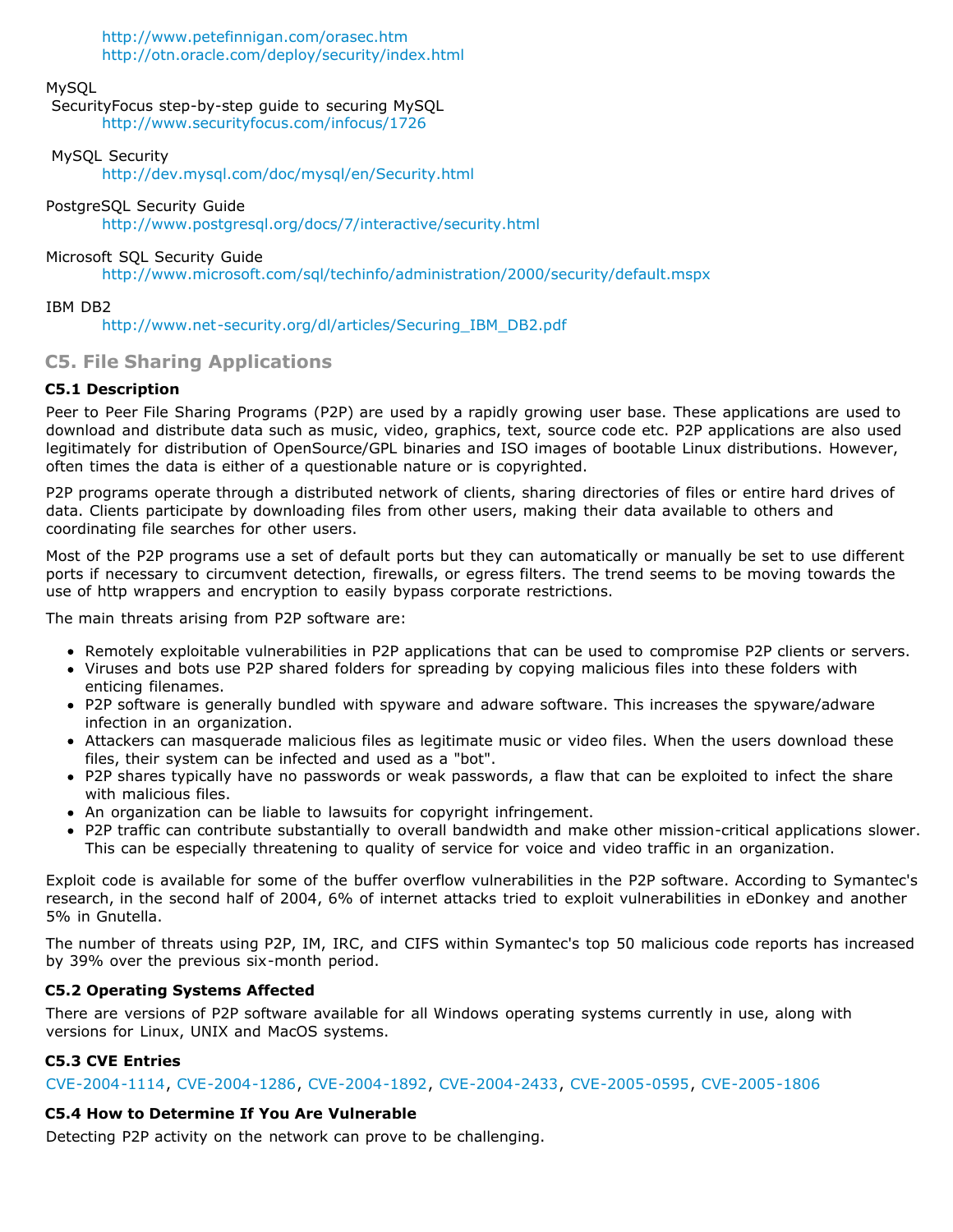http://www.petefinnigan.com/orasec.htm http://otn.oracle.com/deploy/security/index.html

## MySQL

SecurityFocus step-by-step guide to securing MySQL http://www.securityfocus.com/infocus/1726

# MySQL Security

http://dev.mysql.com/doc/mysql/en/Security.html

PostgreSQL Security Guide http://www.postgresql.org/docs/7/interactive/security.html

# Microsoft SQL Security Guide

http://www.microsoft.com/sql/techinfo/administration/2000/security/default.mspx

# IBM DB2

http://www.net-security.org/dl/articles/Securing\_IBM\_DB2.pdf

# **C5. File Sharing Applications**

# **C5.1 Description**

Peer to Peer File Sharing Programs (P2P) are used by a rapidly growing user base. These applications are used to download and distribute data such as music, video, graphics, text, source code etc. P2P applications are also used legitimately for distribution of OpenSource/GPL binaries and ISO images of bootable Linux distributions. However, often times the data is either of a questionable nature or is copyrighted.

P2P programs operate through a distributed network of clients, sharing directories of files or entire hard drives of data. Clients participate by downloading files from other users, making their data available to others and coordinating file searches for other users.

Most of the P2P programs use a set of default ports but they can automatically or manually be set to use different ports if necessary to circumvent detection, firewalls, or egress filters. The trend seems to be moving towards the use of http wrappers and encryption to easily bypass corporate restrictions.

The main threats arising from P2P software are:

- Remotely exploitable vulnerabilities in P2P applications that can be used to compromise P2P clients or servers.
- Viruses and bots use P2P shared folders for spreading by copying malicious files into these folders with enticing filenames.
- P2P software is generally bundled with spyware and adware software. This increases the spyware/adware infection in an organization.
- Attackers can masquerade malicious files as legitimate music or video files. When the users download these files, their system can be infected and used as a "bot".
- P2P shares typically have no passwords or weak passwords, a flaw that can be exploited to infect the share with malicious files.
- An organization can be liable to lawsuits for copyright infringement.
- P2P traffic can contribute substantially to overall bandwidth and make other mission-critical applications slower. This can be especially threatening to quality of service for voice and video traffic in an organization.

Exploit code is available for some of the buffer overflow vulnerabilities in the P2P software. According to Symantec's research, in the second half of 2004, 6% of internet attacks tried to exploit vulnerabilities in eDonkey and another 5% in Gnutella.

The number of threats using P2P, IM, IRC, and CIFS within Symantec's top 50 malicious code reports has increased by 39% over the previous six-month period.

# **C5.2 Operating Systems Affected**

There are versions of P2P software available for all Windows operating systems currently in use, along with versions for Linux, UNIX and MacOS systems.

# **C5.3 CVE Entries**

CVE-2004-1114, CVE-2004-1286, CVE-2004-1892, CVE-2004-2433, CVE-2005-0595, CVE-2005-1806

# **C5.4 How to Determine If You Are Vulnerable**

Detecting P2P activity on the network can prove to be challenging.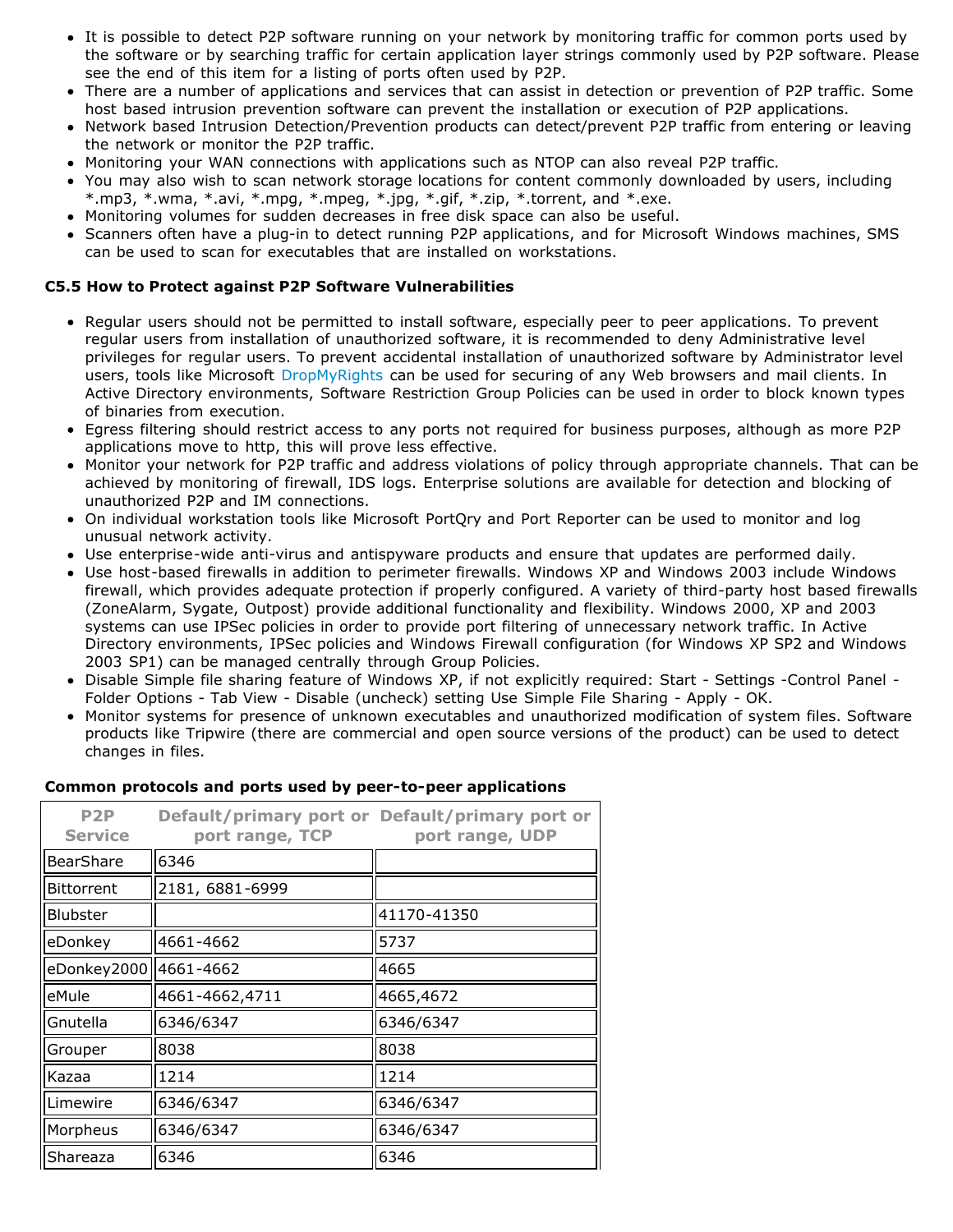- It is possible to detect P2P software running on your network by monitoring traffic for common ports used by the software or by searching traffic for certain application layer strings commonly used by P2P software. Please see the end of this item for a listing of ports often used by P2P.
- There are a number of applications and services that can assist in detection or prevention of P2P traffic. Some host based intrusion prevention software can prevent the installation or execution of P2P applications.
- Network based Intrusion Detection/Prevention products can detect/prevent P2P traffic from entering or leaving the network or monitor the P2P traffic.
- Monitoring your WAN connections with applications such as NTOP can also reveal P2P traffic.
- You may also wish to scan network storage locations for content commonly downloaded by users, including \*.mp3, \*.wma, \*.avi, \*.mpg, \*.mpeg, \*.jpg, \*.gif, \*.zip, \*.torrent, and \*.exe.
- Monitoring volumes for sudden decreases in free disk space can also be useful.
- Scanners often have a plug-in to detect running P2P applications, and for Microsoft Windows machines, SMS can be used to scan for executables that are installed on workstations.

# **C5.5 How to Protect against P2P Software Vulnerabilities**

- Regular users should not be permitted to install software, especially peer to peer applications. To prevent regular users from installation of unauthorized software, it is recommended to deny Administrative level privileges for regular users. To prevent accidental installation of unauthorized software by Administrator level users, tools like Microsoft DropMyRights can be used for securing of any Web browsers and mail clients. In Active Directory environments, Software Restriction Group Policies can be used in order to block known types of binaries from execution.
- Egress filtering should restrict access to any ports not required for business purposes, although as more P2P applications move to http, this will prove less effective.
- Monitor your network for P2P traffic and address violations of policy through appropriate channels. That can be achieved by monitoring of firewall, IDS logs. Enterprise solutions are available for detection and blocking of unauthorized P2P and IM connections.
- On individual workstation tools like Microsoft PortQry and Port Reporter can be used to monitor and log unusual network activity.
- Use enterprise-wide anti-virus and antispyware products and ensure that updates are performed daily.
- Use host-based firewalls in addition to perimeter firewalls. Windows XP and Windows 2003 include Windows firewall, which provides adequate protection if properly configured. A variety of third-party host based firewalls (ZoneAlarm, Sygate, Outpost) provide additional functionality and flexibility. Windows 2000, XP and 2003 systems can use IPSec policies in order to provide port filtering of unnecessary network traffic. In Active Directory environments, IPSec policies and Windows Firewall configuration (for Windows XP SP2 and Windows 2003 SP1) can be managed centrally through Group Policies.
- Disable Simple file sharing feature of Windows XP, if not explicitly required: Start Settings -Control Panel Folder Options - Tab View - Disable (uncheck) setting Use Simple File Sharing - Apply - OK.
- Monitor systems for presence of unknown executables and unauthorized modification of system files. Software products like Tripwire (there are commercial and open source versions of the product) can be used to detect changes in files.

#### **Common protocols and ports used by peer-to-peer applications**

| P <sub>2</sub> P<br><b>Service</b> | port range, TCP | Default/primary port or Default/primary port or<br>port range, UDP |
|------------------------------------|-----------------|--------------------------------------------------------------------|
| BearShare                          | 6346            |                                                                    |
| lBittorrent                        | 2181, 6881-6999 |                                                                    |
| lBlubster                          |                 | 41170-41350                                                        |
| eDonkey                            | 4661-4662       | 5737                                                               |
| eDonkey2000                        | 14661-4662      | 4665                                                               |
| eMule                              | 4661-4662,4711  | 4665,4672                                                          |
| <b>Gnutella</b>                    | 6346/6347       | 6346/6347                                                          |
| Grouper                            | 8038            | 8038                                                               |
| Kazaa                              | 1214            | 1214                                                               |
| Limewire                           | 6346/6347       | 6346/6347                                                          |
| Morpheus                           | 6346/6347       | 6346/6347                                                          |
| Shareaza                           | 6346            | 6346                                                               |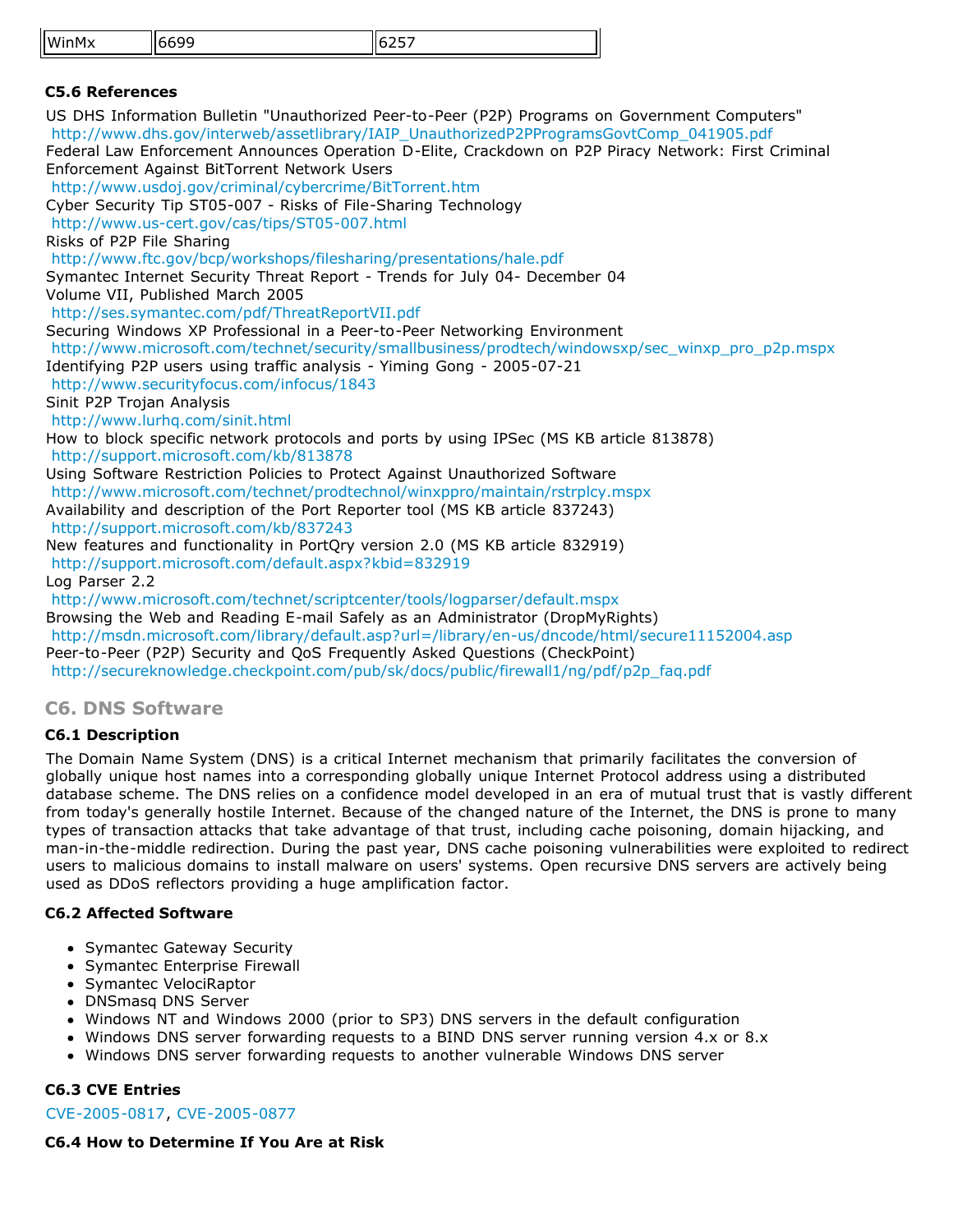| ٠.         |                   | --- |
|------------|-------------------|-----|
| Wi<br>ïnMx | מה:<br>$\epsilon$ | ັ   |

# **C5.6 References**

US DHS Information Bulletin "Unauthorized Peer-to-Peer (P2P) Programs on Government Computers" http://www.dhs.gov/interweb/assetlibrary/IAIP\_UnauthorizedP2PProgramsGovtComp\_041905.pdf Federal Law Enforcement Announces Operation D-Elite, Crackdown on P2P Piracy Network: First Criminal Enforcement Against BitTorrent Network Users http://www.usdoj.gov/criminal/cybercrime/BitTorrent.htm Cyber Security Tip ST05-007 - Risks of File-Sharing Technology http://www.us-cert.gov/cas/tips/ST05-007.html Risks of P2P File Sharing http://www.ftc.gov/bcp/workshops/filesharing/presentations/hale.pdf Symantec Internet Security Threat Report - Trends for July 04- December 04 Volume VII, Published March 2005 http://ses.symantec.com/pdf/ThreatReportVII.pdf Securing Windows XP Professional in a Peer-to-Peer Networking Environment http://www.microsoft.com/technet/security/smallbusiness/prodtech/windowsxp/sec\_winxp\_pro\_p2p.mspx Identifying P2P users using traffic analysis - Yiming Gong - 2005-07-21 http://www.securityfocus.com/infocus/1843 Sinit P2P Trojan Analysis http://www.lurhq.com/sinit.html How to block specific network protocols and ports by using IPSec (MS KB article 813878) http://support.microsoft.com/kb/813878 Using Software Restriction Policies to Protect Against Unauthorized Software http://www.microsoft.com/technet/prodtechnol/winxppro/maintain/rstrplcy.mspx Availability and description of the Port Reporter tool (MS KB article 837243) http://support.microsoft.com/kb/837243 New features and functionality in PortQry version 2.0 (MS KB article 832919) http://support.microsoft.com/default.aspx?kbid=832919 Log Parser 2.2 http://www.microsoft.com/technet/scriptcenter/tools/logparser/default.mspx Browsing the Web and Reading E-mail Safely as an Administrator (DropMyRights) http://msdn.microsoft.com/library/default.asp?url=/library/en-us/dncode/html/secure11152004.asp Peer-to-Peer (P2P) Security and QoS Frequently Asked Questions (CheckPoint) http://secureknowledge.checkpoint.com/pub/sk/docs/public/firewall1/ng/pdf/p2p\_faq.pdf

# **C6. DNS Software**

#### **C6.1 Description**

The Domain Name System (DNS) is a critical Internet mechanism that primarily facilitates the conversion of globally unique host names into a corresponding globally unique Internet Protocol address using a distributed database scheme. The DNS relies on a confidence model developed in an era of mutual trust that is vastly different from today's generally hostile Internet. Because of the changed nature of the Internet, the DNS is prone to many types of transaction attacks that take advantage of that trust, including cache poisoning, domain hijacking, and man-in-the-middle redirection. During the past year, DNS cache poisoning vulnerabilities were exploited to redirect users to malicious domains to install malware on users' systems. Open recursive DNS servers are actively being used as DDoS reflectors providing a huge amplification factor.

# **C6.2 Affected Software**

- Symantec Gateway Security
- Symantec Enterprise Firewall
- Symantec VelociRaptor
- DNSmasq DNS Server
- Windows NT and Windows 2000 (prior to SP3) DNS servers in the default configuration
- Windows DNS server forwarding requests to a BIND DNS server running version 4.x or 8.x
- Windows DNS server forwarding requests to another vulnerable Windows DNS server

# **C6.3 CVE Entries**

CVE-2005-0817, CVE-2005-0877

#### **C6.4 How to Determine If You Are at Risk**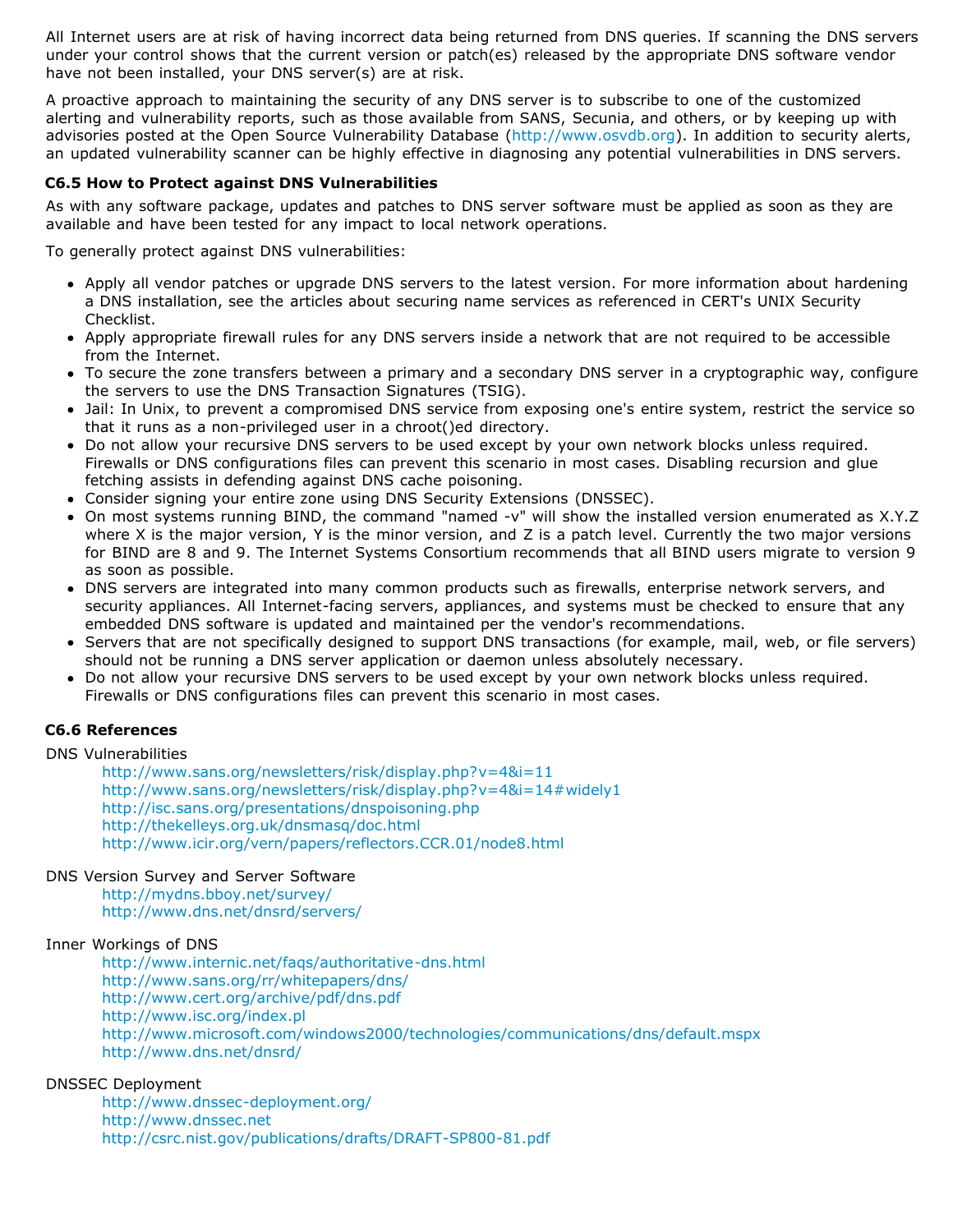All Internet users are at risk of having incorrect data being returned from DNS queries. If scanning the DNS servers under your control shows that the current version or patch(es) released by the appropriate DNS software vendor have not been installed, your DNS server(s) are at risk.

A proactive approach to maintaining the security of any DNS server is to subscribe to one of the customized alerting and vulnerability reports, such as those available from SANS, Secunia, and others, or by keeping up with advisories posted at the Open Source Vulnerability Database (http://www.osvdb.org). In addition to security alerts, an updated vulnerability scanner can be highly effective in diagnosing any potential vulnerabilities in DNS servers.

# **C6.5 How to Protect against DNS Vulnerabilities**

As with any software package, updates and patches to DNS server software must be applied as soon as they are available and have been tested for any impact to local network operations.

To generally protect against DNS vulnerabilities:

- Apply all vendor patches or upgrade DNS servers to the latest version. For more information about hardening a DNS installation, see the articles about securing name services as referenced in CERT's UNIX Security Checklist.
- Apply appropriate firewall rules for any DNS servers inside a network that are not required to be accessible from the Internet.
- To secure the zone transfers between a primary and a secondary DNS server in a cryptographic way, configure the servers to use the DNS Transaction Signatures (TSIG).
- Jail: In Unix, to prevent a compromised DNS service from exposing one's entire system, restrict the service so that it runs as a non-privileged user in a chroot()ed directory.
- Do not allow your recursive DNS servers to be used except by your own network blocks unless required. Firewalls or DNS configurations files can prevent this scenario in most cases. Disabling recursion and glue fetching assists in defending against DNS cache poisoning.
- Consider signing your entire zone using DNS Security Extensions (DNSSEC).
- On most systems running BIND, the command "named -v" will show the installed version enumerated as X.Y.Z where X is the major version, Y is the minor version, and Z is a patch level. Currently the two major versions for BIND are 8 and 9. The Internet Systems Consortium recommends that all BIND users migrate to version 9 as soon as possible.
- DNS servers are integrated into many common products such as firewalls, enterprise network servers, and security appliances. All Internet-facing servers, appliances, and systems must be checked to ensure that any embedded DNS software is updated and maintained per the vendor's recommendations.
- Servers that are not specifically designed to support DNS transactions (for example, mail, web, or file servers) should not be running a DNS server application or daemon unless absolutely necessary.
- Do not allow your recursive DNS servers to be used except by your own network blocks unless required. Firewalls or DNS configurations files can prevent this scenario in most cases.

# **C6.6 References**

DNS Vulnerabilities

http://www.sans.org/newsletters/risk/display.php?v=4&i=11 http://www.sans.org/newsletters/risk/display.php?v=4&i=14#widely1 http://isc.sans.org/presentations/dnspoisoning.php http://thekelleys.org.uk/dnsmasq/doc.html http://www.icir.org/vern/papers/reflectors.CCR.01/node8.html

# DNS Version Survey and Server Software

http://mydns.bboy.net/survey/ http://www.dns.net/dnsrd/servers/

#### Inner Workings of DNS

http://www.internic.net/faqs/authoritative-dns.html http://www.sans.org/rr/whitepapers/dns/ http://www.cert.org/archive/pdf/dns.pdf http://www.isc.org/index.pl http://www.microsoft.com/windows2000/technologies/communications/dns/default.mspx http://www.dns.net/dnsrd/

#### DNSSEC Deployment

http://www.dnssec-deployment.org/ http://www.dnssec.net http://csrc.nist.gov/publications/drafts/DRAFT-SP800-81.pdf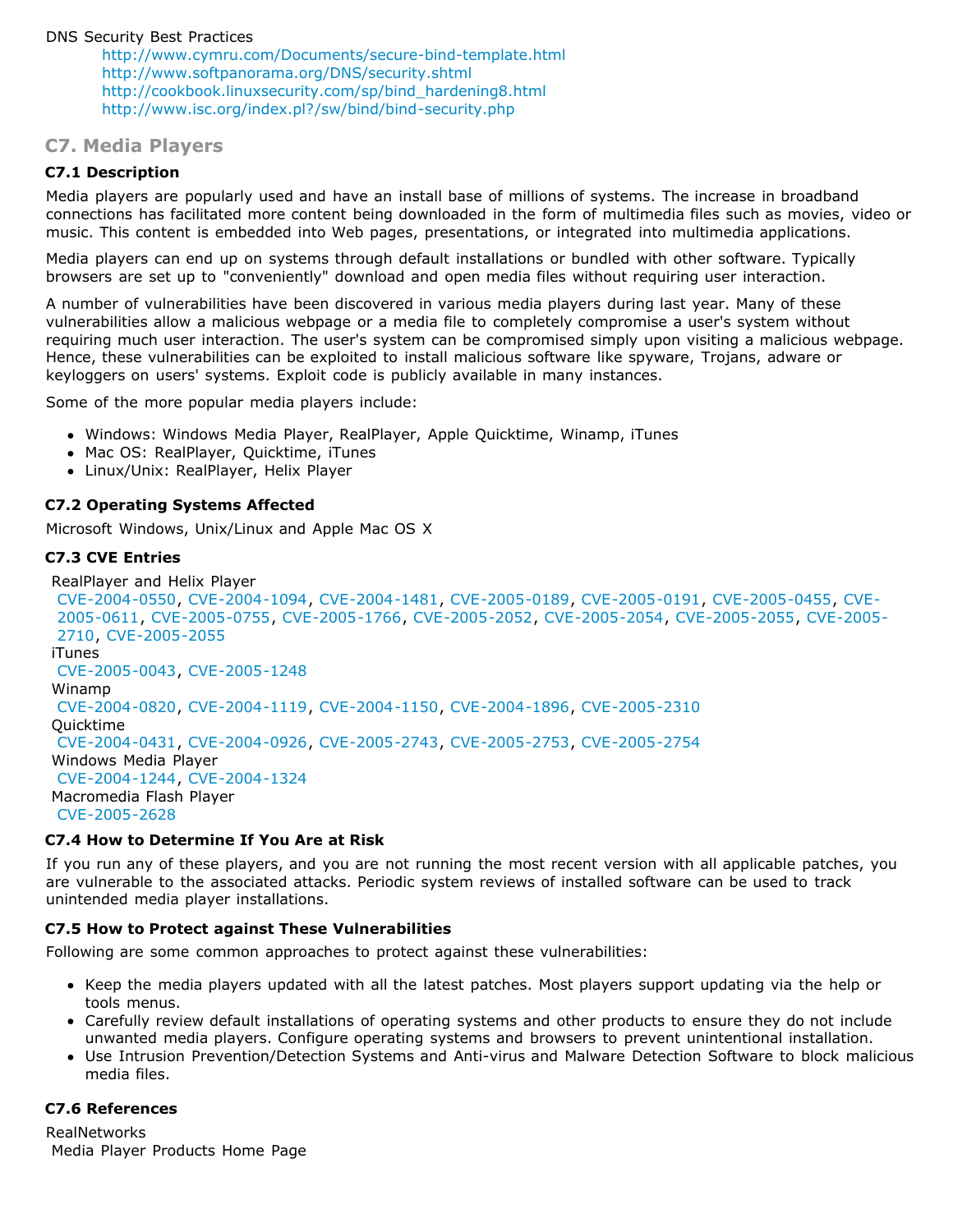#### DNS Security Best Practices

http://www.cymru.com/Documents/secure-bind-template.html http://www.softpanorama.org/DNS/security.shtml http://cookbook.linuxsecurity.com/sp/bind\_hardening8.html http://www.isc.org/index.pl?/sw/bind/bind-security.php

# **C7. Media Players**

#### **C7.1 Description**

Media players are popularly used and have an install base of millions of systems. The increase in broadband connections has facilitated more content being downloaded in the form of multimedia files such as movies, video or music. This content is embedded into Web pages, presentations, or integrated into multimedia applications.

Media players can end up on systems through default installations or bundled with other software. Typically browsers are set up to "conveniently" download and open media files without requiring user interaction.

A number of vulnerabilities have been discovered in various media players during last year. Many of these vulnerabilities allow a malicious webpage or a media file to completely compromise a user's system without requiring much user interaction. The user's system can be compromised simply upon visiting a malicious webpage. Hence, these vulnerabilities can be exploited to install malicious software like spyware, Trojans, adware or keyloggers on users' systems. Exploit code is publicly available in many instances.

Some of the more popular media players include:

- Windows: Windows Media Player, RealPlayer, Apple Quicktime, Winamp, iTunes
- Mac OS: RealPlayer, Quicktime, iTunes
- Linux/Unix: RealPlayer, Helix Player

#### **C7.2 Operating Systems Affected**

Microsoft Windows, Unix/Linux and Apple Mac OS X

#### **C7.3 CVE Entries**

RealPlayer and Helix Player

CVE-2004-0550, CVE-2004-1094, CVE-2004-1481, CVE-2005-0189, CVE-2005-0191, CVE-2005-0455, CVE-2005-0611, CVE-2005-0755, CVE-2005-1766, CVE-2005-2052, CVE-2005-2054, CVE-2005-2055, CVE-2005- 2710, CVE-2005-2055 iTunes CVE-2005-0043, CVE-2005-1248 Winamp CVE-2004-0820, CVE-2004-1119, CVE-2004-1150, CVE-2004-1896, CVE-2005-2310 Quicktime CVE-2004-0431, CVE-2004-0926, CVE-2005-2743, CVE-2005-2753, CVE-2005-2754 Windows Media Player CVE-2004-1244, CVE-2004-1324 Macromedia Flash Player CVE-2005-2628

#### **C7.4 How to Determine If You Are at Risk**

If you run any of these players, and you are not running the most recent version with all applicable patches, you are vulnerable to the associated attacks. Periodic system reviews of installed software can be used to track unintended media player installations.

#### **C7.5 How to Protect against These Vulnerabilities**

Following are some common approaches to protect against these vulnerabilities:

- Keep the media players updated with all the latest patches. Most players support updating via the help or tools menus.
- Carefully review default installations of operating systems and other products to ensure they do not include unwanted media players. Configure operating systems and browsers to prevent unintentional installation.
- Use Intrusion Prevention/Detection Systems and Anti-virus and Malware Detection Software to block malicious media files.

#### **C7.6 References**

RealNetworks Media Player Products Home Page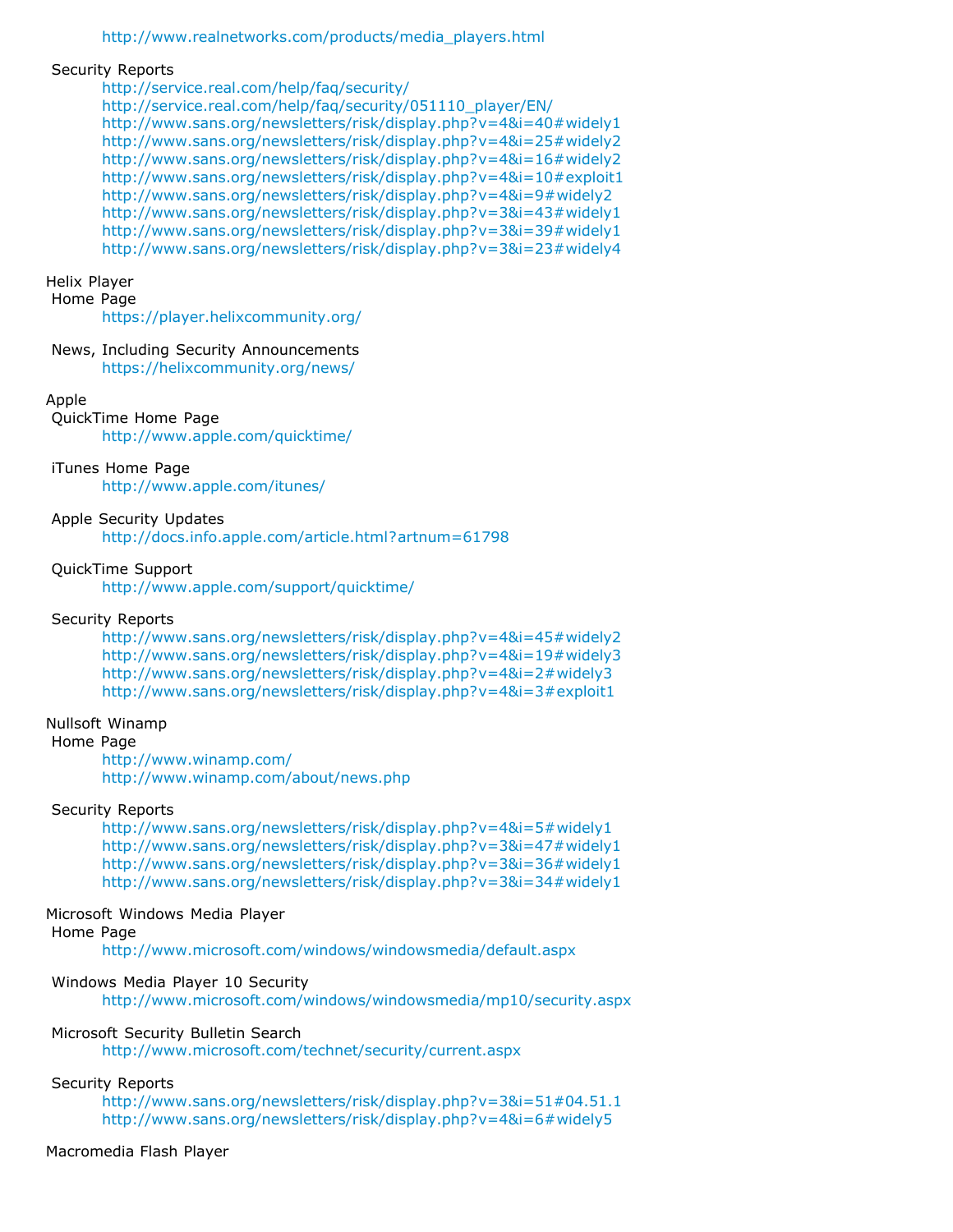#### http://www.realnetworks.com/products/media\_players.html

#### Security Reports

http://service.real.com/help/faq/security/

http://service.real.com/help/faq/security/051110\_player/EN/ http://www.sans.org/newsletters/risk/display.php?v=4&i=40#widely1 http://www.sans.org/newsletters/risk/display.php?v=4&i=25#widely2 http://www.sans.org/newsletters/risk/display.php?v=4&i=16#widely2 http://www.sans.org/newsletters/risk/display.php?v=4&i=10#exploit1 http://www.sans.org/newsletters/risk/display.php?v=4&i=9#widely2 http://www.sans.org/newsletters/risk/display.php?v=3&i=43#widely1 http://www.sans.org/newsletters/risk/display.php?v=3&i=39#widely1 http://www.sans.org/newsletters/risk/display.php?v=3&i=23#widely4

# Helix Player

Home Page

https://player.helixcommunity.org/

### News, Including Security Announcements

https://helixcommunity.org/news/

#### Apple

QuickTime Home Page http://www.apple.com/quicktime/

iTunes Home Page

http://www.apple.com/itunes/

Apple Security Updates

http://docs.info.apple.com/article.html?artnum=61798

QuickTime Support

http://www.apple.com/support/quicktime/

#### Security Reports

http://www.sans.org/newsletters/risk/display.php?v=4&i=45#widely2 http://www.sans.org/newsletters/risk/display.php?v=4&i=19#widely3 http://www.sans.org/newsletters/risk/display.php?v=4&i=2#widely3 http://www.sans.org/newsletters/risk/display.php?v=4&i=3#exploit1

#### Nullsoft Winamp

Home Page

http://www.winamp.com/ http://www.winamp.com/about/news.php

#### Security Reports

http://www.sans.org/newsletters/risk/display.php?v=4&i=5#widely1 http://www.sans.org/newsletters/risk/display.php?v=3&i=47#widely1 http://www.sans.org/newsletters/risk/display.php?v=3&i=36#widely1 http://www.sans.org/newsletters/risk/display.php?v=3&i=34#widely1

#### Microsoft Windows Media Player

Home Page

http://www.microsoft.com/windows/windowsmedia/default.aspx

#### Windows Media Player 10 Security

http://www.microsoft.com/windows/windowsmedia/mp10/security.aspx

#### Microsoft Security Bulletin Search

http://www.microsoft.com/technet/security/current.aspx

#### Security Reports

http://www.sans.org/newsletters/risk/display.php?v=3&i=51#04.51.1 http://www.sans.org/newsletters/risk/display.php?v=4&i=6#widely5

#### Macromedia Flash Player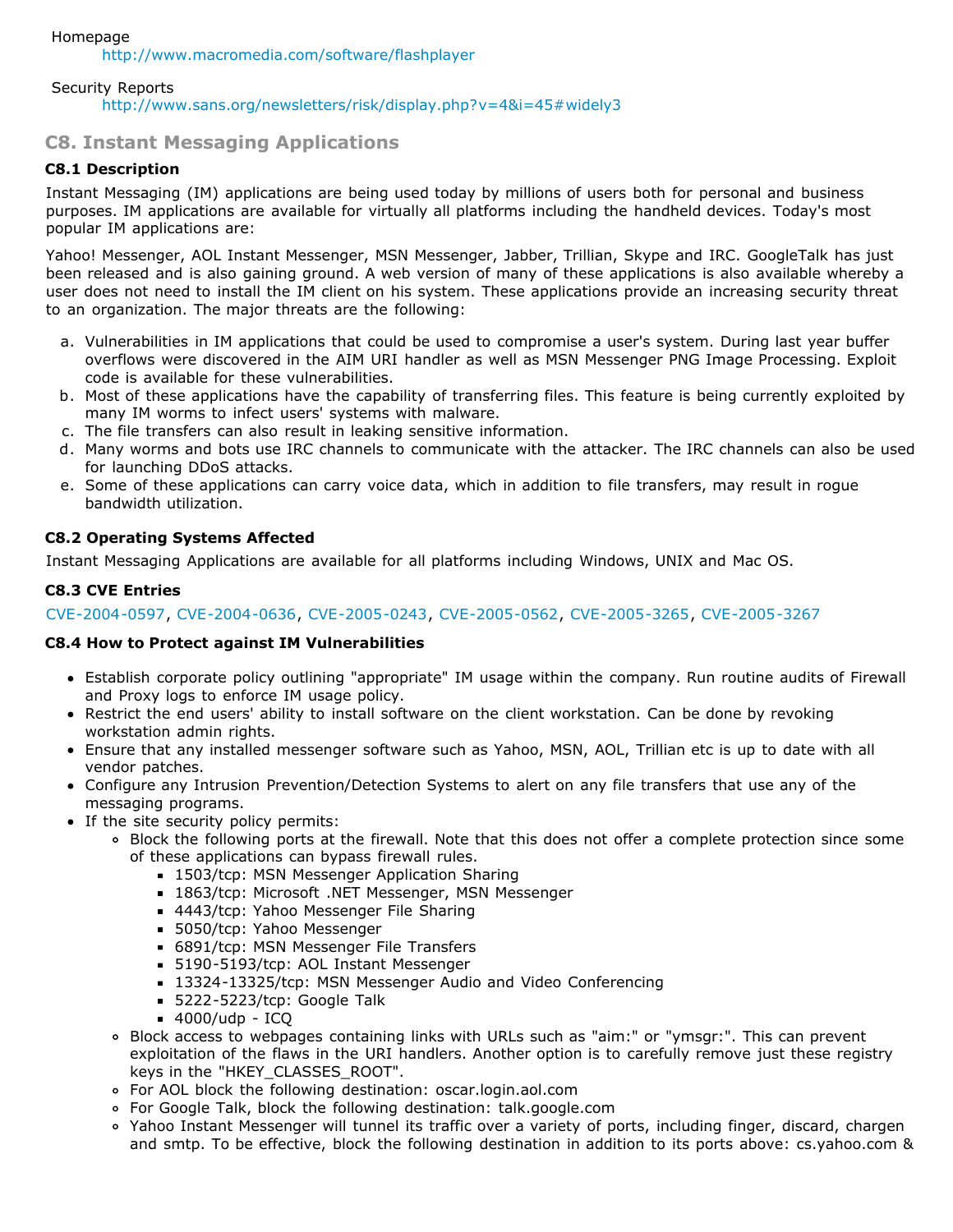Homepage

http://www.macromedia.com/software/flashplayer

### Security Reports

http://www.sans.org/newsletters/risk/display.php?v=4&i=45#widely3

# **C8. Instant Messaging Applications**

# **C8.1 Description**

Instant Messaging (IM) applications are being used today by millions of users both for personal and business purposes. IM applications are available for virtually all platforms including the handheld devices. Today's most popular IM applications are:

Yahoo! Messenger, AOL Instant Messenger, MSN Messenger, Jabber, Trillian, Skype and IRC. GoogleTalk has just been released and is also gaining ground. A web version of many of these applications is also available whereby a user does not need to install the IM client on his system. These applications provide an increasing security threat to an organization. The major threats are the following:

- a. Vulnerabilities in IM applications that could be used to compromise a user's system. During last year buffer overflows were discovered in the AIM URI handler as well as MSN Messenger PNG Image Processing. Exploit code is available for these vulnerabilities.
- b. Most of these applications have the capability of transferring files. This feature is being currently exploited by many IM worms to infect users' systems with malware.
- c. The file transfers can also result in leaking sensitive information.
- d. Many worms and bots use IRC channels to communicate with the attacker. The IRC channels can also be used for launching DDoS attacks.
- e. Some of these applications can carry voice data, which in addition to file transfers, may result in rogue bandwidth utilization.

# **C8.2 Operating Systems Affected**

Instant Messaging Applications are available for all platforms including Windows, UNIX and Mac OS.

# **C8.3 CVE Entries**

CVE-2004-0597, CVE-2004-0636, CVE-2005-0243, CVE-2005-0562, CVE-2005-3265, CVE-2005-3267

# **C8.4 How to Protect against IM Vulnerabilities**

- Establish corporate policy outlining "appropriate" IM usage within the company. Run routine audits of Firewall and Proxy logs to enforce IM usage policy.
- Restrict the end users' ability to install software on the client workstation. Can be done by revoking workstation admin rights.
- Ensure that any installed messenger software such as Yahoo, MSN, AOL, Trillian etc is up to date with all vendor patches.
- Configure any Intrusion Prevention/Detection Systems to alert on any file transfers that use any of the messaging programs.
- If the site security policy permits:
	- Block the following ports at the firewall. Note that this does not offer a complete protection since some of these applications can bypass firewall rules.
		- **1503/tcp: MSN Messenger Application Sharing**
		- 1863/tcp: Microsoft .NET Messenger, MSN Messenger
		- 4443/tcp: Yahoo Messenger File Sharing
		- **5050/tcp: Yahoo Messenger**
		- 6891/tcp: MSN Messenger File Transfers
		- 5190-5193/tcp: AOL Instant Messenger
		- 13324-13325/tcp: MSN Messenger Audio and Video Conferencing
		- 5222-5223/tcp: Google Talk
		- $-4000/$ udp ICQ
	- Block access to webpages containing links with URLs such as "aim:" or "ymsgr:". This can prevent exploitation of the flaws in the URI handlers. Another option is to carefully remove just these registry keys in the "HKEY\_CLASSES\_ROOT".
	- For AOL block the following destination: oscar.login.aol.com
	- For Google Talk, block the following destination: talk.google.com
	- Yahoo Instant Messenger will tunnel its traffic over a variety of ports, including finger, discard, chargen and smtp. To be effective, block the following destination in addition to its ports above: cs.yahoo.com &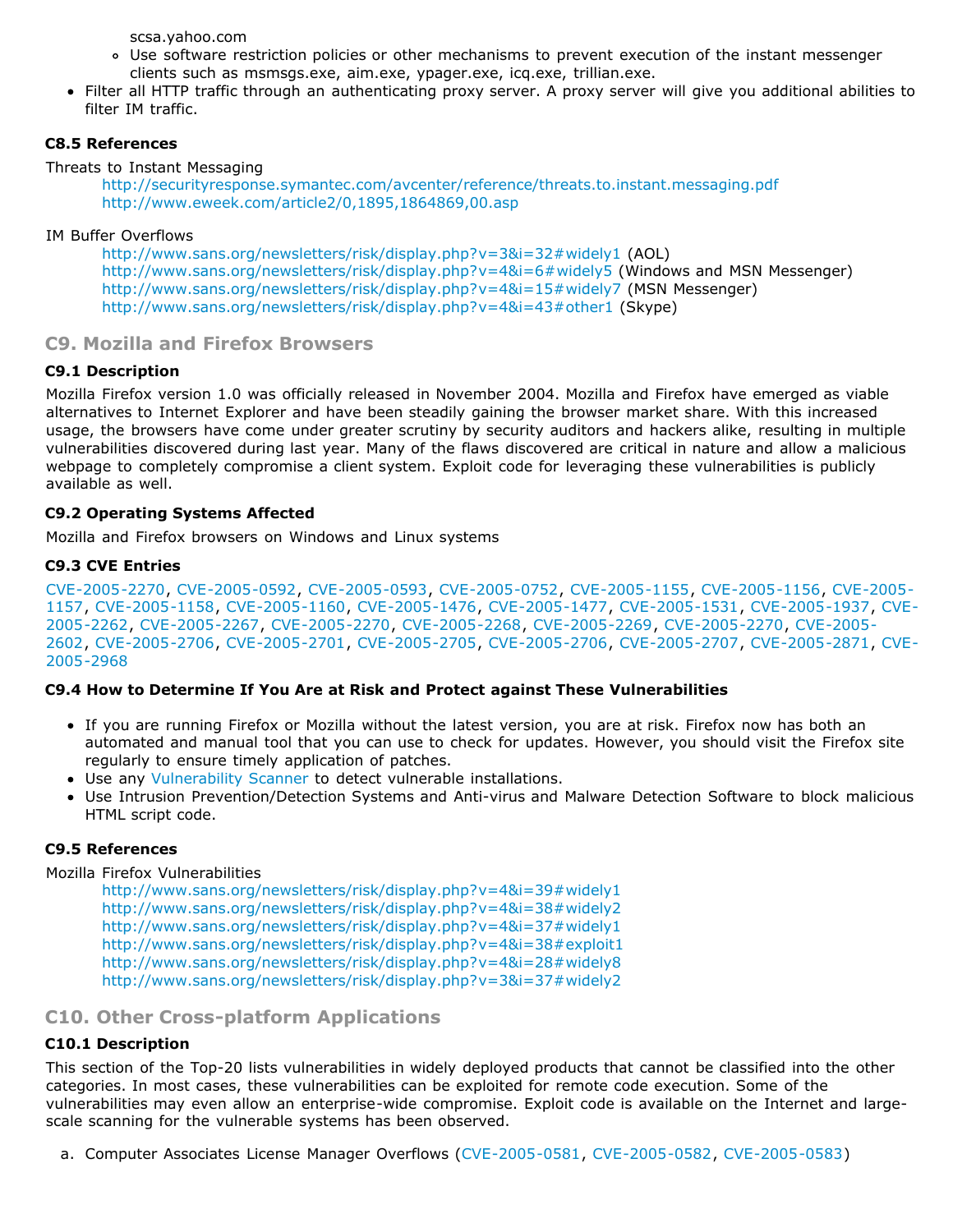scsa.yahoo.com

- Use software restriction policies or other mechanisms to prevent execution of the instant messenger clients such as msmsgs.exe, aim.exe, ypager.exe, icq.exe, trillian.exe.
- Filter all HTTP traffic through an authenticating proxy server. A proxy server will give you additional abilities to filter IM traffic.

# **C8.5 References**

Threats to Instant Messaging

http://securityresponse.symantec.com/avcenter/reference/threats.to.instant.messaging.pdf http://www.eweek.com/article2/0,1895,1864869,00.asp

#### IM Buffer Overflows

http://www.sans.org/newsletters/risk/display.php?v=3&i=32#widely1 (AOL) http://www.sans.org/newsletters/risk/display.php?v=4&i=6#widely5 (Windows and MSN Messenger) http://www.sans.org/newsletters/risk/display.php?v=4&i=15#widely7 (MSN Messenger) http://www.sans.org/newsletters/risk/display.php?v=4&i=43#other1 (Skype)

# **C9. Mozilla and Firefox Browsers**

# **C9.1 Description**

Mozilla Firefox version 1.0 was officially released in November 2004. Mozilla and Firefox have emerged as viable alternatives to Internet Explorer and have been steadily gaining the browser market share. With this increased usage, the browsers have come under greater scrutiny by security auditors and hackers alike, resulting in multiple vulnerabilities discovered during last year. Many of the flaws discovered are critical in nature and allow a malicious webpage to completely compromise a client system. Exploit code for leveraging these vulnerabilities is publicly available as well.

# **C9.2 Operating Systems Affected**

Mozilla and Firefox browsers on Windows and Linux systems

#### **C9.3 CVE Entries**

CVE-2005-2270, CVE-2005-0592, CVE-2005-0593, CVE-2005-0752, CVE-2005-1155, CVE-2005-1156, CVE-2005- 1157, CVE-2005-1158, CVE-2005-1160, CVE-2005-1476, CVE-2005-1477, CVE-2005-1531, CVE-2005-1937, CVE-2005-2262, CVE-2005-2267, CVE-2005-2270, CVE-2005-2268, CVE-2005-2269, CVE-2005-2270, CVE-2005- 2602, CVE-2005-2706, CVE-2005-2701, CVE-2005-2705, CVE-2005-2706, CVE-2005-2707, CVE-2005-2871, CVE-2005-2968

#### **C9.4 How to Determine If You Are at Risk and Protect against These Vulnerabilities**

- If you are running Firefox or Mozilla without the latest version, you are at risk. Firefox now has both an automated and manual tool that you can use to check for updates. However, you should visit the Firefox site regularly to ensure timely application of patches.
- Use any Vulnerability Scanner to detect vulnerable installations.
- Use Intrusion Prevention/Detection Systems and Anti-virus and Malware Detection Software to block malicious HTML script code.

# **C9.5 References**

Mozilla Firefox Vulnerabilities

http://www.sans.org/newsletters/risk/display.php?v=4&i=39#widely1 http://www.sans.org/newsletters/risk/display.php?v=4&i=38#widely2 http://www.sans.org/newsletters/risk/display.php?v=4&i=37#widely1 http://www.sans.org/newsletters/risk/display.php?v=4&i=38#exploit1 http://www.sans.org/newsletters/risk/display.php?v=4&i=28#widely8 http://www.sans.org/newsletters/risk/display.php?v=3&i=37#widely2

# **C10. Other Cross-platform Applications**

# **C10.1 Description**

This section of the Top-20 lists vulnerabilities in widely deployed products that cannot be classified into the other categories. In most cases, these vulnerabilities can be exploited for remote code execution. Some of the vulnerabilities may even allow an enterprise-wide compromise. Exploit code is available on the Internet and largescale scanning for the vulnerable systems has been observed.

a. Computer Associates License Manager Overflows (CVE-2005-0581, CVE-2005-0582, CVE-2005-0583)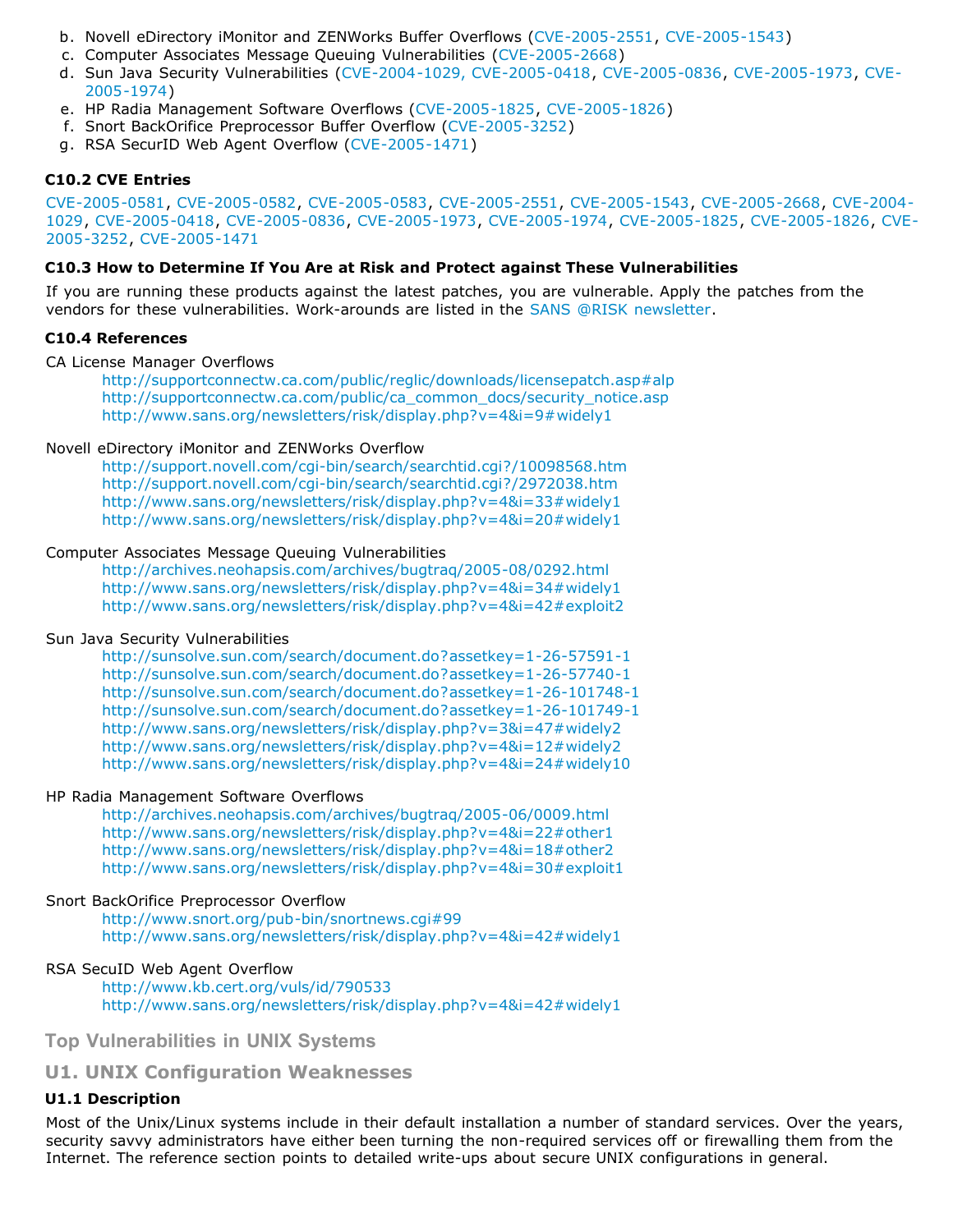- b. Novell eDirectory iMonitor and ZENWorks Buffer Overflows (CVE-2005-2551, CVE-2005-1543)
- c. Computer Associates Message Queuing Vulnerabilities (CVE-2005-2668)
- d. Sun Java Security Vulnerabilities (CVE-2004-1029, CVE-2005-0418, CVE-2005-0836, CVE-2005-1973, CVE-2005-1974)
- e. HP Radia Management Software Overflows (CVE-2005-1825, CVE-2005-1826)
- f. Snort BackOrifice Preprocessor Buffer Overflow (CVE-2005-3252)
- g. RSA SecurID Web Agent Overflow (CVE-2005-1471)

# **C10.2 CVE Entries**

CVE-2005-0581, CVE-2005-0582, CVE-2005-0583, CVE-2005-2551, CVE-2005-1543, CVE-2005-2668, CVE-2004- 1029, CVE-2005-0418, CVE-2005-0836, CVE-2005-1973, CVE-2005-1974, CVE-2005-1825, CVE-2005-1826, CVE-2005-3252, CVE-2005-1471

# **C10.3 How to Determine If You Are at Risk and Protect against These Vulnerabilities**

If you are running these products against the latest patches, you are vulnerable. Apply the patches from the vendors for these vulnerabilities. Work-arounds are listed in the SANS @RISK newsletter.

# **C10.4 References**

CA License Manager Overflows

http://supportconnectw.ca.com/public/reglic/downloads/licensepatch.asp#alp http://supportconnectw.ca.com/public/ca\_common\_docs/security\_notice.asp http://www.sans.org/newsletters/risk/display.php?v=4&i=9#widely1

# Novell eDirectory iMonitor and ZENWorks Overflow

http://support.novell.com/cgi-bin/search/searchtid.cgi?/10098568.htm http://support.novell.com/cgi-bin/search/searchtid.cgi?/2972038.htm http://www.sans.org/newsletters/risk/display.php?v=4&i=33#widely1 http://www.sans.org/newsletters/risk/display.php?v=4&i=20#widely1

# Computer Associates Message Queuing Vulnerabilities

http://archives.neohapsis.com/archives/bugtraq/2005-08/0292.html http://www.sans.org/newsletters/risk/display.php?v=4&i=34#widely1 http://www.sans.org/newsletters/risk/display.php?v=4&i=42#exploit2

# Sun Java Security Vulnerabilities

http://sunsolve.sun.com/search/document.do?assetkey=1-26-57591-1 http://sunsolve.sun.com/search/document.do?assetkey=1-26-57740-1 http://sunsolve.sun.com/search/document.do?assetkey=1-26-101748-1 http://sunsolve.sun.com/search/document.do?assetkey=1-26-101749-1 http://www.sans.org/newsletters/risk/display.php?v=3&i=47#widely2 http://www.sans.org/newsletters/risk/display.php?v=4&i=12#widely2 http://www.sans.org/newsletters/risk/display.php?v=4&i=24#widely10

#### HP Radia Management Software Overflows

http://archives.neohapsis.com/archives/bugtraq/2005-06/0009.html http://www.sans.org/newsletters/risk/display.php?v=4&i=22#other1 http://www.sans.org/newsletters/risk/display.php?v=4&i=18#other2 http://www.sans.org/newsletters/risk/display.php?v=4&i=30#exploit1

# Snort BackOrifice Preprocessor Overflow

http://www.snort.org/pub-bin/snortnews.cgi#99 http://www.sans.org/newsletters/risk/display.php?v=4&i=42#widely1

#### RSA SecuID Web Agent Overflow

http://www.kb.cert.org/vuls/id/790533 http://www.sans.org/newsletters/risk/display.php?v=4&i=42#widely1

**Top Vulnerabilities in UNIX Systems**

# **U1. UNIX Configuration Weaknesses**

# **U1.1 Description**

Most of the Unix/Linux systems include in their default installation a number of standard services. Over the years, security savvy administrators have either been turning the non-required services off or firewalling them from the Internet. The reference section points to detailed write-ups about secure UNIX configurations in general.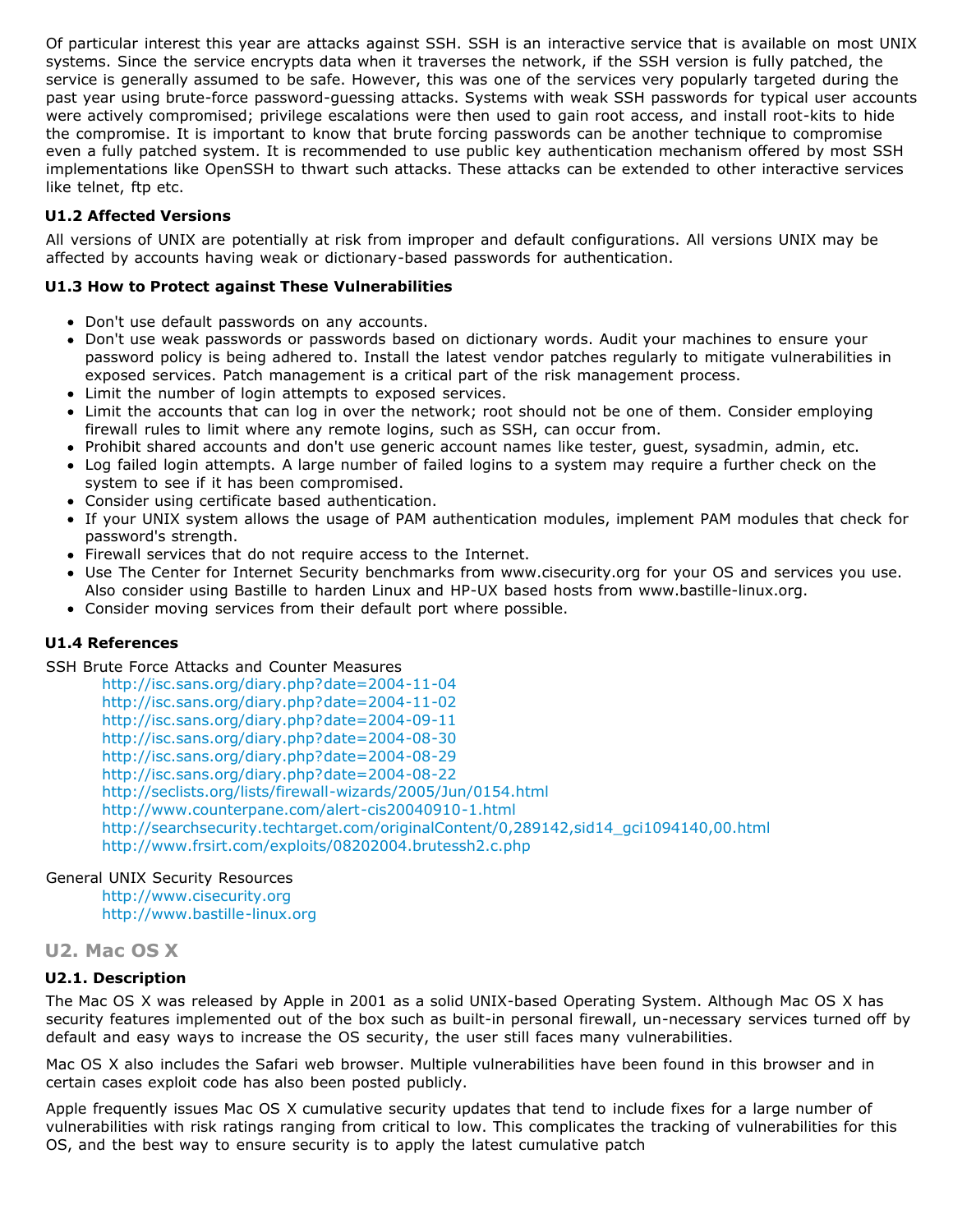Of particular interest this year are attacks against SSH. SSH is an interactive service that is available on most UNIX systems. Since the service encrypts data when it traverses the network, if the SSH version is fully patched, the service is generally assumed to be safe. However, this was one of the services very popularly targeted during the past year using brute-force password-guessing attacks. Systems with weak SSH passwords for typical user accounts were actively compromised; privilege escalations were then used to gain root access, and install root-kits to hide the compromise. It is important to know that brute forcing passwords can be another technique to compromise even a fully patched system. It is recommended to use public key authentication mechanism offered by most SSH implementations like OpenSSH to thwart such attacks. These attacks can be extended to other interactive services like telnet, ftp etc.

# **U1.2 Affected Versions**

All versions of UNIX are potentially at risk from improper and default configurations. All versions UNIX may be affected by accounts having weak or dictionary-based passwords for authentication.

# **U1.3 How to Protect against These Vulnerabilities**

- Don't use default passwords on any accounts.
- Don't use weak passwords or passwords based on dictionary words. Audit your machines to ensure your password policy is being adhered to. Install the latest vendor patches regularly to mitigate vulnerabilities in exposed services. Patch management is a critical part of the risk management process.
- Limit the number of login attempts to exposed services.
- Limit the accounts that can log in over the network; root should not be one of them. Consider employing firewall rules to limit where any remote logins, such as SSH, can occur from.
- Prohibit shared accounts and don't use generic account names like tester, guest, sysadmin, admin, etc.
- Log failed login attempts. A large number of failed logins to a system may require a further check on the system to see if it has been compromised.
- Consider using certificate based authentication.
- If your UNIX system allows the usage of PAM authentication modules, implement PAM modules that check for password's strength.
- Firewall services that do not require access to the Internet.
- Use The Center for Internet Security benchmarks from www.cisecurity.org for your OS and services you use. Also consider using Bastille to harden Linux and HP-UX based hosts from www.bastille-linux.org.
- Consider moving services from their default port where possible.

# **U1.4 References**

SSH Brute Force Attacks and Counter Measures

http://isc.sans.org/diary.php?date=2004-11-04 http://isc.sans.org/diary.php?date=2004-11-02 http://isc.sans.org/diary.php?date=2004-09-11 http://isc.sans.org/diary.php?date=2004-08-30 http://isc.sans.org/diary.php?date=2004-08-29 http://isc.sans.org/diary.php?date=2004-08-22 http://seclists.org/lists/firewall-wizards/2005/Jun/0154.html http://www.counterpane.com/alert-cis20040910-1.html http://searchsecurity.techtarget.com/originalContent/0,289142,sid14\_gci1094140,00.html http://www.frsirt.com/exploits/08202004.brutessh2.c.php

#### General UNIX Security Resources

http://www.cisecurity.org http://www.bastille-linux.org

# **U2. Mac OS X**

### **U2.1. Description**

The Mac OS X was released by Apple in 2001 as a solid UNIX-based Operating System. Although Mac OS X has security features implemented out of the box such as built-in personal firewall, un-necessary services turned off by default and easy ways to increase the OS security, the user still faces many vulnerabilities.

Mac OS X also includes the Safari web browser. Multiple vulnerabilities have been found in this browser and in certain cases exploit code has also been posted publicly.

Apple frequently issues Mac OS X cumulative security updates that tend to include fixes for a large number of vulnerabilities with risk ratings ranging from critical to low. This complicates the tracking of vulnerabilities for this OS, and the best way to ensure security is to apply the latest cumulative patch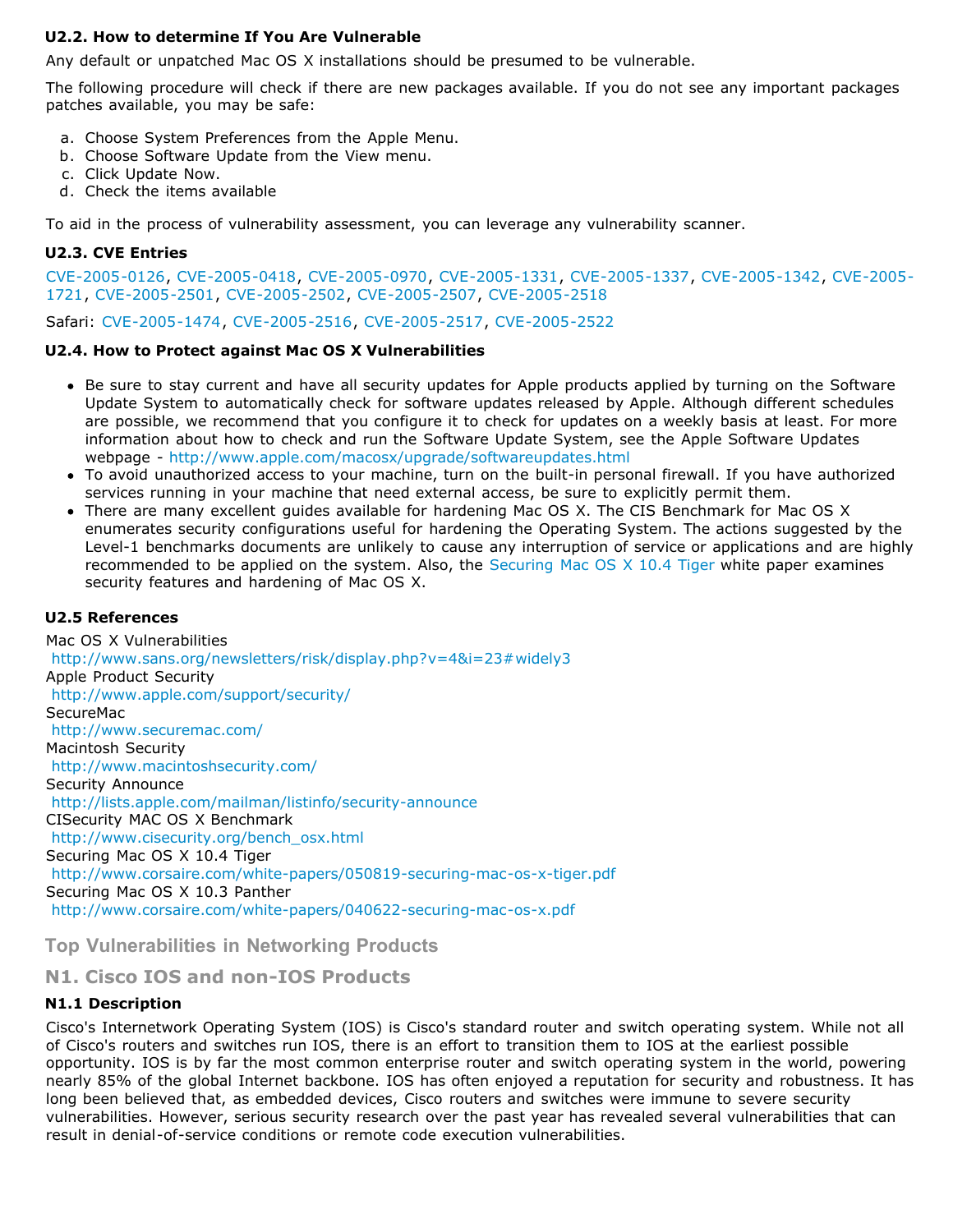# **U2.2. How to determine If You Are Vulnerable**

Any default or unpatched Mac OS X installations should be presumed to be vulnerable.

The following procedure will check if there are new packages available. If you do not see any important packages patches available, you may be safe:

- a. Choose System Preferences from the Apple Menu.
- b. Choose Software Update from the View menu.
- c. Click Update Now.
- d. Check the items available

To aid in the process of vulnerability assessment, you can leverage any vulnerability scanner.

#### **U2.3. CVE Entries**

CVE-2005-0126, CVE-2005-0418, CVE-2005-0970, CVE-2005-1331, CVE-2005-1337, CVE-2005-1342, CVE-2005- 1721, CVE-2005-2501, CVE-2005-2502, CVE-2005-2507, CVE-2005-2518

Safari: CVE-2005-1474, CVE-2005-2516, CVE-2005-2517, CVE-2005-2522

#### **U2.4. How to Protect against Mac OS X Vulnerabilities**

- Be sure to stay current and have all security updates for Apple products applied by turning on the Software Update System to automatically check for software updates released by Apple. Although different schedules are possible, we recommend that you configure it to check for updates on a weekly basis at least. For more information about how to check and run the Software Update System, see the Apple Software Updates webpage - http://www.apple.com/macosx/upgrade/softwareupdates.html
- To avoid unauthorized access to your machine, turn on the built-in personal firewall. If you have authorized services running in your machine that need external access, be sure to explicitly permit them.
- There are many excellent guides available for hardening Mac OS X. The CIS Benchmark for Mac OS X enumerates security configurations useful for hardening the Operating System. The actions suggested by the Level-1 benchmarks documents are unlikely to cause any interruption of service or applications and are highly recommended to be applied on the system. Also, the Securing Mac OS  $\times$  10.4 Tiger white paper examines security features and hardening of Mac OS X.

## **U2.5 References**

Mac OS X Vulnerabilities http://www.sans.org/newsletters/risk/display.php?v=4&i=23#widely3 Apple Product Security http://www.apple.com/support/security/ SecureMac http://www.securemac.com/ Macintosh Security http://www.macintoshsecurity.com/ Security Announce http://lists.apple.com/mailman/listinfo/security-announce CISecurity MAC OS X Benchmark http://www.cisecurity.org/bench\_osx.html Securing Mac OS X 10.4 Tiger http://www.corsaire.com/white-papers/050819-securing-mac-os-x-tiger.pdf Securing Mac OS X 10.3 Panther http://www.corsaire.com/white-papers/040622-securing-mac-os-x.pdf

# **Top Vulnerabilities in Networking Products**

# **N1. Cisco IOS and non-IOS Products**

# **N1.1 Description**

Cisco's Internetwork Operating System (IOS) is Cisco's standard router and switch operating system. While not all of Cisco's routers and switches run IOS, there is an effort to transition them to IOS at the earliest possible opportunity. IOS is by far the most common enterprise router and switch operating system in the world, powering nearly 85% of the global Internet backbone. IOS has often enjoyed a reputation for security and robustness. It has long been believed that, as embedded devices, Cisco routers and switches were immune to severe security vulnerabilities. However, serious security research over the past year has revealed several vulnerabilities that can result in denial-of-service conditions or remote code execution vulnerabilities.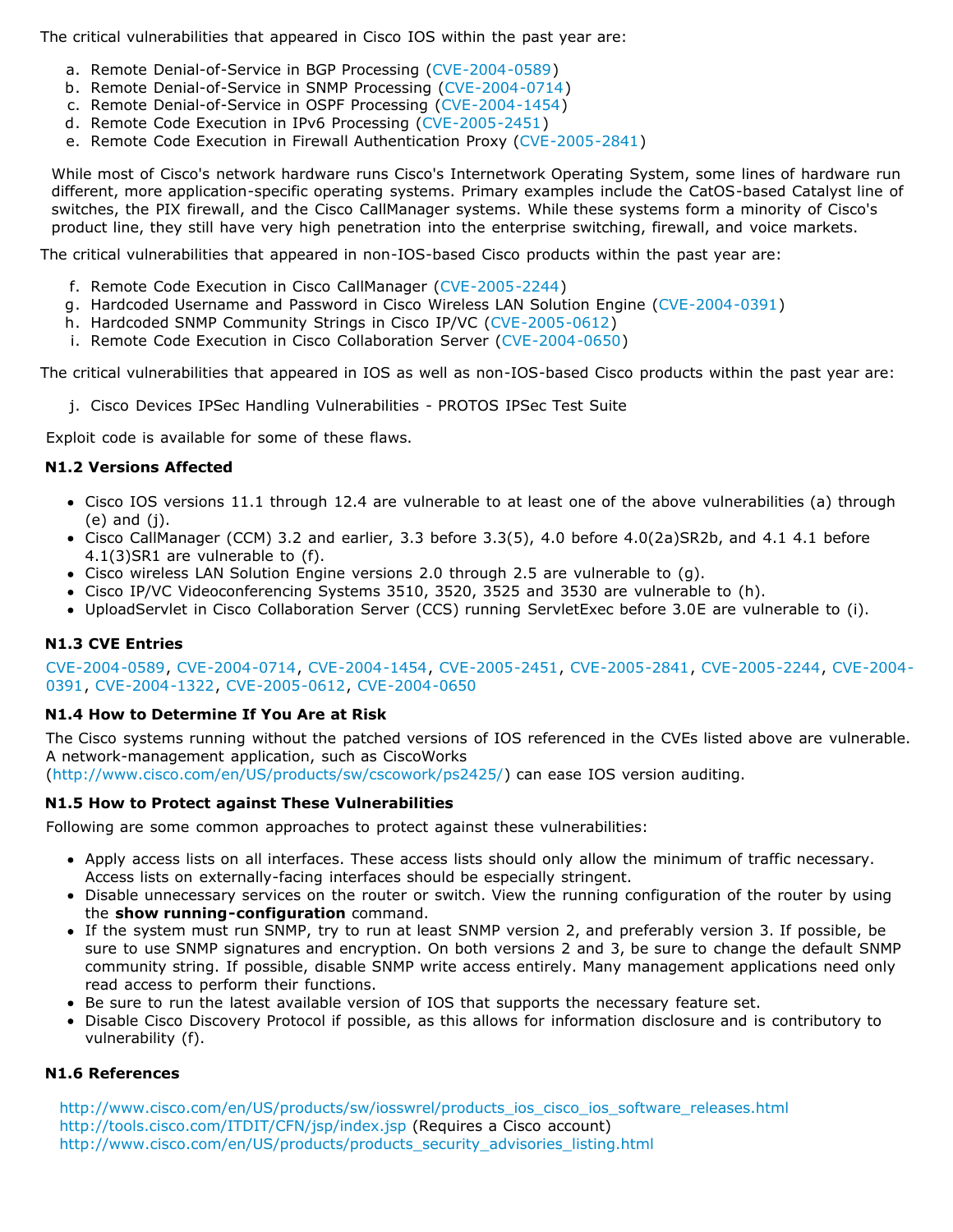The critical vulnerabilities that appeared in Cisco IOS within the past year are:

- a. Remote Denial-of-Service in BGP Processing (CVE-2004-0589)
- b. Remote Denial-of-Service in SNMP Processing (CVE-2004-0714)
- c. Remote Denial-of-Service in OSPF Processing (CVE-2004-1454)
- d. Remote Code Execution in IPv6 Processing (CVE-2005-2451)
- e. Remote Code Execution in Firewall Authentication Proxy (CVE-2005-2841)

While most of Cisco's network hardware runs Cisco's Internetwork Operating System, some lines of hardware run different, more application-specific operating systems. Primary examples include the CatOS-based Catalyst line of switches, the PIX firewall, and the Cisco CallManager systems. While these systems form a minority of Cisco's product line, they still have very high penetration into the enterprise switching, firewall, and voice markets.

The critical vulnerabilities that appeared in non-IOS-based Cisco products within the past year are:

- f. Remote Code Execution in Cisco CallManager (CVE-2005-2244)
- g. Hardcoded Username and Password in Cisco Wireless LAN Solution Engine (CVE-2004-0391)
- h. Hardcoded SNMP Community Strings in Cisco IP/VC (CVE-2005-0612)
- i. Remote Code Execution in Cisco Collaboration Server (CVE-2004-0650)

The critical vulnerabilities that appeared in IOS as well as non-IOS-based Cisco products within the past year are:

j. Cisco Devices IPSec Handling Vulnerabilities - PROTOS IPSec Test Suite

Exploit code is available for some of these flaws.

# **N1.2 Versions Affected**

- Cisco IOS versions 11.1 through 12.4 are vulnerable to at least one of the above vulnerabilities (a) through (e) and (j).
- Cisco CallManager (CCM) 3.2 and earlier, 3.3 before 3.3(5), 4.0 before 4.0(2a)SR2b, and 4.1 4.1 before 4.1(3)SR1 are vulnerable to (f).
- Cisco wireless LAN Solution Engine versions 2.0 through 2.5 are vulnerable to (g).
- Cisco IP/VC Videoconferencing Systems 3510, 3520, 3525 and 3530 are vulnerable to (h).
- UploadServlet in Cisco Collaboration Server (CCS) running ServletExec before 3.0E are vulnerable to (i).

#### **N1.3 CVE Entries**

CVE-2004-0589, CVE-2004-0714, CVE-2004-1454, CVE-2005-2451, CVE-2005-2841, CVE-2005-2244, CVE-2004- 0391, CVE-2004-1322, CVE-2005-0612, CVE-2004-0650

#### **N1.4 How to Determine If You Are at Risk**

The Cisco systems running without the patched versions of IOS referenced in the CVEs listed above are vulnerable. A network-management application, such as CiscoWorks (http://www.cisco.com/en/US/products/sw/cscowork/ps2425/) can ease IOS version auditing.

#### **N1.5 How to Protect against These Vulnerabilities**

Following are some common approaches to protect against these vulnerabilities:

- Apply access lists on all interfaces. These access lists should only allow the minimum of traffic necessary. Access lists on externally-facing interfaces should be especially stringent.
- Disable unnecessary services on the router or switch. View the running configuration of the router by using the **show running-configuration** command.
- If the system must run SNMP, try to run at least SNMP version 2, and preferably version 3. If possible, be sure to use SNMP signatures and encryption. On both versions 2 and 3, be sure to change the default SNMP community string. If possible, disable SNMP write access entirely. Many management applications need only read access to perform their functions.
- Be sure to run the latest available version of IOS that supports the necessary feature set.
- Disable Cisco Discovery Protocol if possible, as this allows for information disclosure and is contributory to vulnerability (f).

# **N1.6 References**

http://www.cisco.com/en/US/products/sw/iosswrel/products\_ios\_cisco\_ios\_software\_releases.html http://tools.cisco.com/ITDIT/CFN/jsp/index.jsp (Requires a Cisco account) http://www.cisco.com/en/US/products/products\_security\_advisories\_listing.html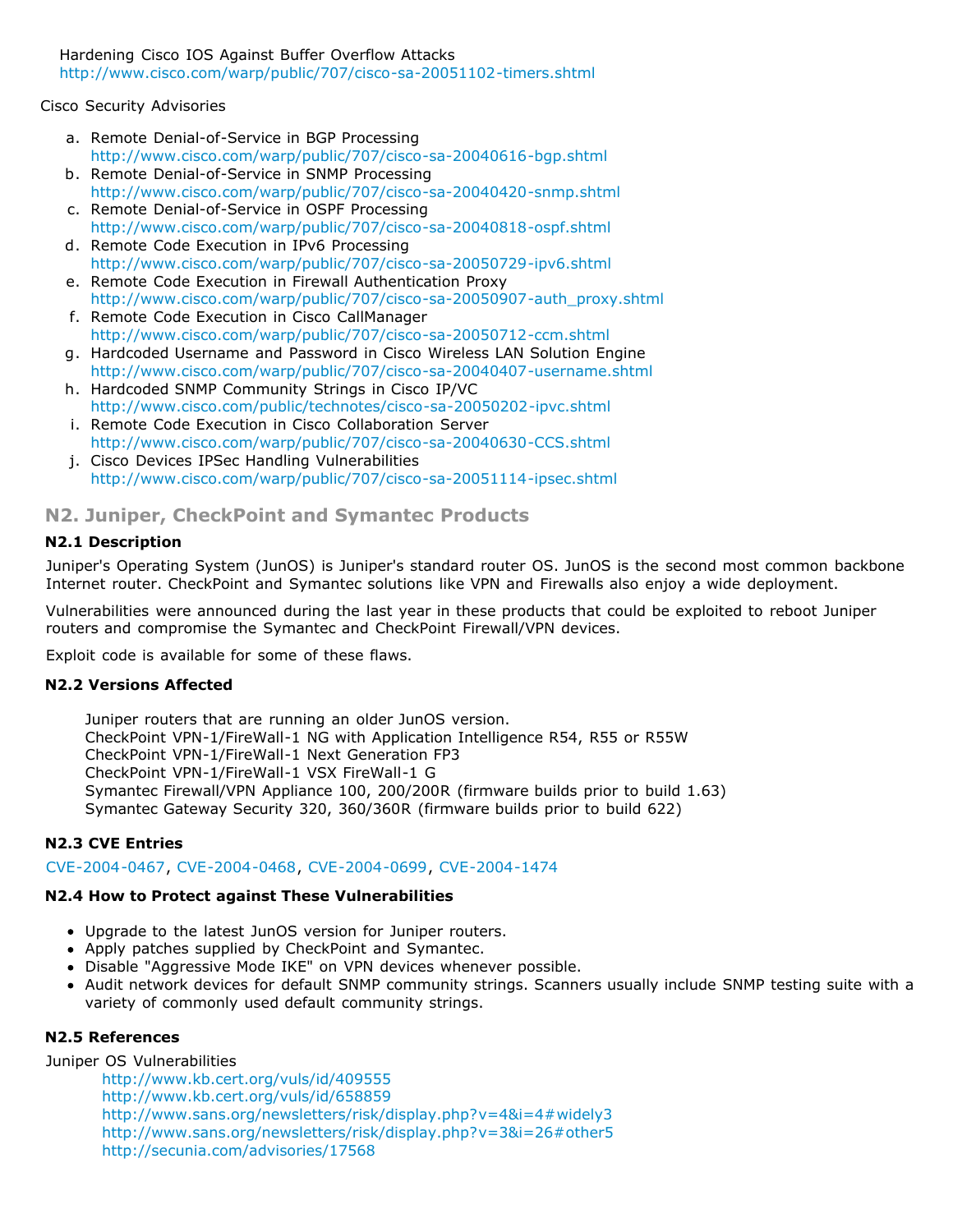Hardening Cisco IOS Against Buffer Overflow Attacks http://www.cisco.com/warp/public/707/cisco-sa-20051102-timers.shtml

Cisco Security Advisories

- a. Remote Denial-of-Service in BGP Processing http://www.cisco.com/warp/public/707/cisco-sa-20040616-bgp.shtml
- b. Remote Denial-of-Service in SNMP Processing http://www.cisco.com/warp/public/707/cisco-sa-20040420-snmp.shtml c. Remote Denial-of-Service in OSPF Processing
- http://www.cisco.com/warp/public/707/cisco-sa-20040818-ospf.shtml d. Remote Code Execution in IPv6 Processing
- http://www.cisco.com/warp/public/707/cisco-sa-20050729-ipv6.shtml e. Remote Code Execution in Firewall Authentication Proxy
- http://www.cisco.com/warp/public/707/cisco-sa-20050907-auth\_proxy.shtml f. Remote Code Execution in Cisco CallManager
- http://www.cisco.com/warp/public/707/cisco-sa-20050712-ccm.shtml g. Hardcoded Username and Password in Cisco Wireless LAN Solution Engine
- http://www.cisco.com/warp/public/707/cisco-sa-20040407-username.shtml h. Hardcoded SNMP Community Strings in Cisco IP/VC
- http://www.cisco.com/public/technotes/cisco-sa-20050202-ipvc.shtml i. Remote Code Execution in Cisco Collaboration Server
- http://www.cisco.com/warp/public/707/cisco-sa-20040630-CCS.shtml j. Cisco Devices IPSec Handling Vulnerabilities
- http://www.cisco.com/warp/public/707/cisco-sa-20051114-ipsec.shtml

# **N2. Juniper, CheckPoint and Symantec Products**

# **N2.1 Description**

Juniper's Operating System (JunOS) is Juniper's standard router OS. JunOS is the second most common backbone Internet router. CheckPoint and Symantec solutions like VPN and Firewalls also enjoy a wide deployment.

Vulnerabilities were announced during the last year in these products that could be exploited to reboot Juniper routers and compromise the Symantec and CheckPoint Firewall/VPN devices.

Exploit code is available for some of these flaws.

#### **N2.2 Versions Affected**

Juniper routers that are running an older JunOS version. CheckPoint VPN-1/FireWall-1 NG with Application Intelligence R54, R55 or R55W CheckPoint VPN-1/FireWall-1 Next Generation FP3 CheckPoint VPN-1/FireWall-1 VSX FireWall-1 G Symantec Firewall/VPN Appliance 100, 200/200R (firmware builds prior to build 1.63) Symantec Gateway Security 320, 360/360R (firmware builds prior to build 622)

#### **N2.3 CVE Entries**

CVE-2004-0467, CVE-2004-0468, CVE-2004-0699, CVE-2004-1474

#### **N2.4 How to Protect against These Vulnerabilities**

- Upgrade to the latest JunOS version for Juniper routers.
- Apply patches supplied by CheckPoint and Symantec.
- Disable "Aggressive Mode IKE" on VPN devices whenever possible.
- Audit network devices for default SNMP community strings. Scanners usually include SNMP testing suite with a variety of commonly used default community strings.

#### **N2.5 References**

Juniper OS Vulnerabilities

http://www.kb.cert.org/vuls/id/409555 http://www.kb.cert.org/vuls/id/658859 http://www.sans.org/newsletters/risk/display.php?v=4&i=4#widely3 http://www.sans.org/newsletters/risk/display.php?v=3&i=26#other5 http://secunia.com/advisories/17568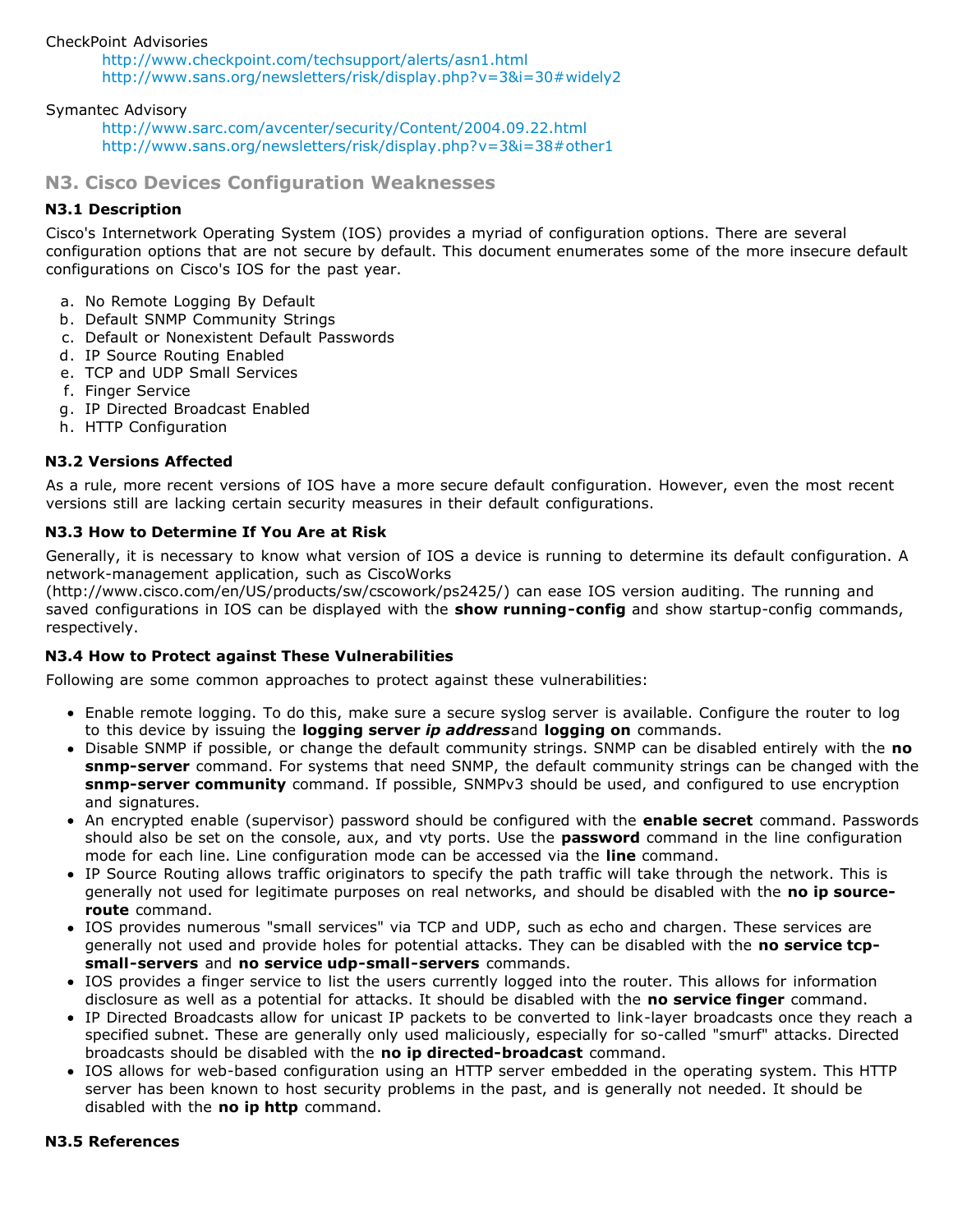# CheckPoint Advisories

http://www.checkpoint.com/techsupport/alerts/asn1.html http://www.sans.org/newsletters/risk/display.php?v=3&i=30#widely2

#### Symantec Advisory

http://www.sarc.com/avcenter/security/Content/2004.09.22.html http://www.sans.org/newsletters/risk/display.php?v=3&i=38#other1

# **N3. Cisco Devices Configuration Weaknesses**

# **N3.1 Description**

Cisco's Internetwork Operating System (IOS) provides a myriad of configuration options. There are several configuration options that are not secure by default. This document enumerates some of the more insecure default configurations on Cisco's IOS for the past year.

- a. No Remote Logging By Default
- b. Default SNMP Community Strings
- c. Default or Nonexistent Default Passwords
- d. IP Source Routing Enabled
- e. TCP and UDP Small Services
- f. Finger Service
- g. IP Directed Broadcast Enabled
- h. HTTP Configuration

# **N3.2 Versions Affected**

As a rule, more recent versions of IOS have a more secure default configuration. However, even the most recent versions still are lacking certain security measures in their default configurations.

#### **N3.3 How to Determine If You Are at Risk**

Generally, it is necessary to know what version of IOS a device is running to determine its default configuration. A network-management application, such as CiscoWorks

(http://www.cisco.com/en/US/products/sw/cscowork/ps2425/) can ease IOS version auditing. The running and saved configurations in IOS can be displayed with the **show running-config** and show startup-config commands, respectively.

#### **N3.4 How to Protect against These Vulnerabilities**

Following are some common approaches to protect against these vulnerabilities:

- Enable remote logging. To do this, make sure a secure syslog server is available. Configure the router to log to this device by issuing the **logging server** *ip address*and **logging on** commands.
- Disable SNMP if possible, or change the default community strings. SNMP can be disabled entirely with the **no snmp-server** command. For systems that need SNMP, the default community strings can be changed with the **snmp-server community** command. If possible, SNMPv3 should be used, and configured to use encryption and signatures.
- An encrypted enable (supervisor) password should be configured with the **enable secret** command. Passwords should also be set on the console, aux, and vty ports. Use the **password** command in the line configuration mode for each line. Line configuration mode can be accessed via the **line** command.
- IP Source Routing allows traffic originators to specify the path traffic will take through the network. This is generally not used for legitimate purposes on real networks, and should be disabled with the **no ip sourceroute** command.
- IOS provides numerous "small services" via TCP and UDP, such as echo and chargen. These services are generally not used and provide holes for potential attacks. They can be disabled with the **no service tcpsmall-servers** and **no service udp-small-servers** commands.
- IOS provides a finger service to list the users currently logged into the router. This allows for information disclosure as well as a potential for attacks. It should be disabled with the **no service finger** command.
- IP Directed Broadcasts allow for unicast IP packets to be converted to link-layer broadcasts once they reach a specified subnet. These are generally only used maliciously, especially for so-called "smurf" attacks. Directed broadcasts should be disabled with the **no ip directed-broadcast** command.
- IOS allows for web-based configuration using an HTTP server embedded in the operating system. This HTTP server has been known to host security problems in the past, and is generally not needed. It should be disabled with the **no ip http** command.

#### **N3.5 References**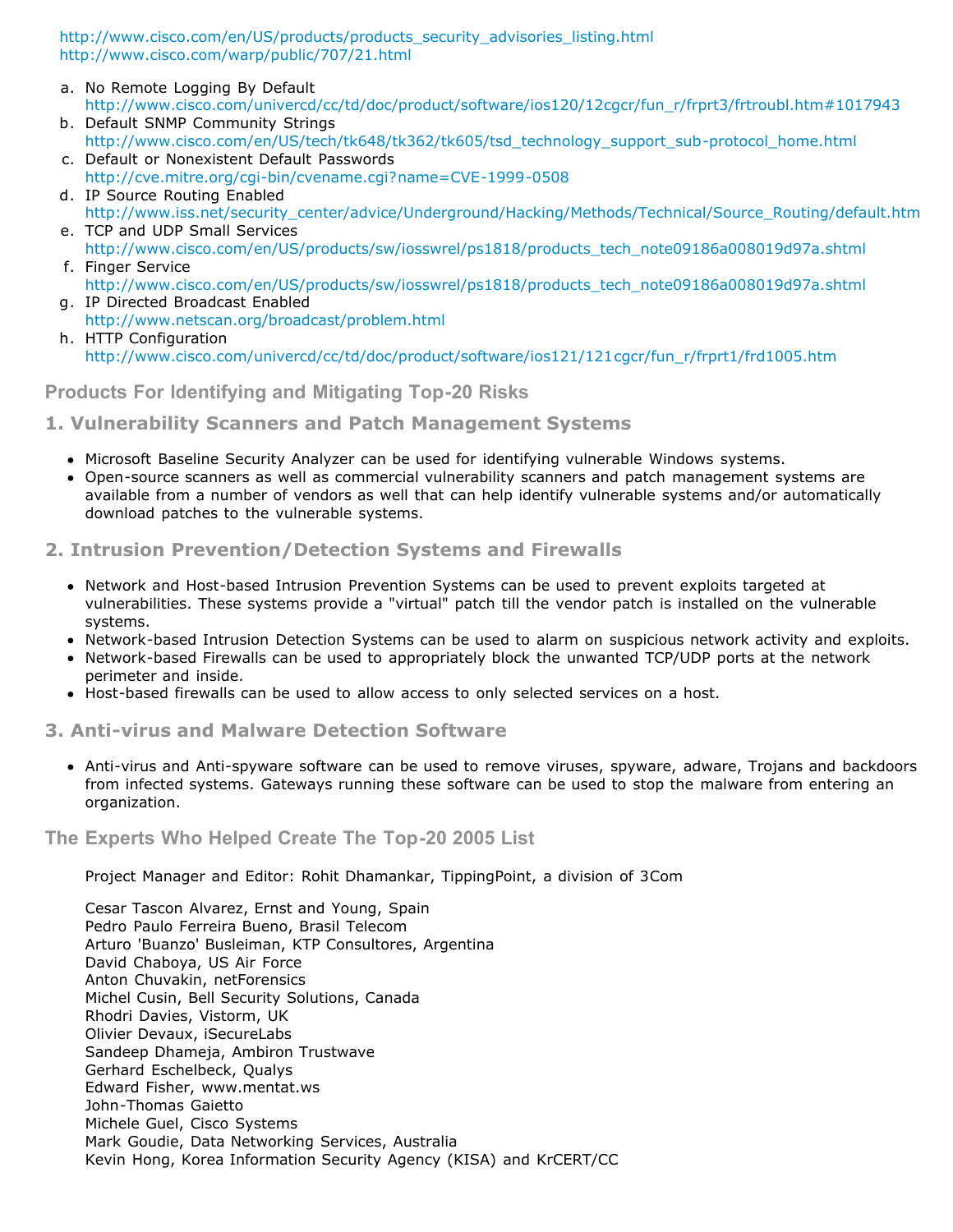http://www.cisco.com/en/US/products/products\_security\_advisories\_listing.html http://www.cisco.com/warp/public/707/21.html

- a. No Remote Logging By Default http://www.cisco.com/univercd/cc/td/doc/product/software/ios120/12cgcr/fun\_r/frprt3/frtroubl.htm#1017943
- b. Default SNMP Community Strings http://www.cisco.com/en/US/tech/tk648/tk362/tk605/tsd\_technology\_support\_sub-protocol\_home.html
- c. Default or Nonexistent Default Passwords http://cve.mitre.org/cgi-bin/cvename.cgi?name=CVE-1999-0508 d. IP Source Routing Enabled
- http://www.iss.net/security\_center/advice/Underground/Hacking/Methods/Technical/Source\_Routing/default.htm e. TCP and UDP Small Services
- http://www.cisco.com/en/US/products/sw/iosswrel/ps1818/products\_tech\_note09186a008019d97a.shtml f. Finger Service
- http://www.cisco.com/en/US/products/sw/iosswrel/ps1818/products\_tech\_note09186a008019d97a.shtml g. IP Directed Broadcast Enabled
- http://www.netscan.org/broadcast/problem.html h. HTTP Configuration

http://www.cisco.com/univercd/cc/td/doc/product/software/ios121/121cgcr/fun\_r/frprt1/frd1005.htm

**Products For Identifying and Mitigating Top-20 Risks**

# **1. Vulnerability Scanners and Patch Management Systems**

- Microsoft Baseline Security Analyzer can be used for identifying vulnerable Windows systems.
- Open-source scanners as well as commercial vulnerability scanners and patch management systems are available from a number of vendors as well that can help identify vulnerable systems and/or automatically download patches to the vulnerable systems.

# **2. Intrusion Prevention/Detection Systems and Firewalls**

- Network and Host-based Intrusion Prevention Systems can be used to prevent exploits targeted at vulnerabilities. These systems provide a "virtual" patch till the vendor patch is installed on the vulnerable systems.
- Network-based Intrusion Detection Systems can be used to alarm on suspicious network activity and exploits.
- Network-based Firewalls can be used to appropriately block the unwanted TCP/UDP ports at the network perimeter and inside.
- Host-based firewalls can be used to allow access to only selected services on a host.

# **3. Anti-virus and Malware Detection Software**

Anti-virus and Anti-spyware software can be used to remove viruses, spyware, adware, Trojans and backdoors from infected systems. Gateways running these software can be used to stop the malware from entering an organization.

# **The Experts Who Helped Create The Top-20 2005 List**

Project Manager and Editor: Rohit Dhamankar, TippingPoint, a division of 3Com

Cesar Tascon Alvarez, Ernst and Young, Spain Pedro Paulo Ferreira Bueno, Brasil Telecom Arturo 'Buanzo' Busleiman, KTP Consultores, Argentina David Chaboya, US Air Force Anton Chuvakin, netForensics Michel Cusin, Bell Security Solutions, Canada Rhodri Davies, Vistorm, UK Olivier Devaux, iSecureLabs Sandeep Dhameja, Ambiron Trustwave Gerhard Eschelbeck, Qualys Edward Fisher, www.mentat.ws John-Thomas Gaietto Michele Guel, Cisco Systems Mark Goudie, Data Networking Services, Australia Kevin Hong, Korea Information Security Agency (KISA) and KrCERT/CC